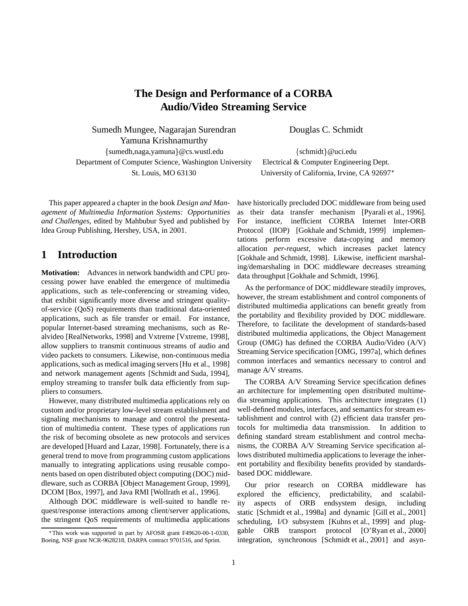# **The Design and Performance of a CORBA Audio/Video Streaming Service**

Sumedh Mungee, Nagarajan Surendran Douglas C. Schmidt Yamuna Krishnamurthy

{sumedh,naga,yamuna}@cs.wustl.edu fschmidt}@uci.edu Department of Computer Science, Washington University Electrical & Computer Engineering Dept.

This paper appeared a chapter in the book *Design and Management of Multimedia Information Systems: Opportunities and Challenges*, edited by Mahbubur Syed and published by Idea Group Publishing, Hershey, USA, in 2001.

## **1 Introduction**

**Motivation:** Advances in network bandwidth and CPU processing power have enabled the emergence of multimedia applications, such as tele-conferencing or streaming video, that exhibit significantly more diverse and stringent qualityof-service (QoS) requirements than traditional data-oriented applications, such as file transfer or email. For instance, popular Internet-based streaming mechanisms, such as Realvideo [RealNetworks, 1998] and Vxtreme [Vxtreme, 1998], allow suppliers to transmit continuous streams of audio and video packets to consumers. Likewise, non-continuous media applications, such as medical imaging servers [Hu et al., 1998] and network management agents [Schmidt and Suda, 1994], employ streaming to transfer bulk data efficiently from suppliers to consumers.

However, many distributed multimedia applications rely on custom and/or proprietary low-level stream establishment and signaling mechanisms to manage and control the presentation of multimedia content. These types of applications run the risk of becoming obsolete as new protocols and services are developed [Huard and Lazar, 1998]. Fortunately, there is a general trend to move from programming custom applications manually to integrating applications using reusable components based on open distributed object computing (DOC) middleware, such as CORBA [Object Management Group, 1999], DCOM [Box, 1997], and Java RMI [Wollrath et al., 1996].

Although DOC middleware is well-suited to handle request/response interactions among client/server applications, the stringent QoS requirements of multimedia applications

St. Louis, MO 63130 University of California, Irvine, CA 92697\*

have historically precluded DOC middleware from being used as their data transfer mechanism [Pyarali et al., 1996]. For instance, inefficient CORBA Internet Inter-ORB Protocol (IIOP) [Gokhale and Schmidt, 1999] implementations perform excessive data-copying and memory allocation *per-request*, which increases packet latency [Gokhale and Schmidt, 1998]. Likewise, inefficient marshaling/demarshaling in DOC middleware decreases streaming data throughput [Gokhale and Schmidt, 1996].

As the performance of DOC middleware steadily improves, however, the stream establishment and control components of distributed multimedia applications can benefit greatly from the portability and flexibility provided by DOC middleware. Therefore, to facilitate the development of standards-based distributed multimedia applications, the Object Management Group (OMG) has defined the CORBA Audio/Video (A/V) Streaming Service specification [OMG, 1997a], which defines common interfaces and semantics necessary to control and manage A/V streams.

The CORBA A/V Streaming Service specification defines an architecture for implementing open distributed multimedia streaming applications. This architecture integrates (1) well-defined modules, interfaces, and semantics for stream establishment and control with (2) efficient data transfer protocols for multimedia data transmission. In addition to defining standard stream establishment and control mechanisms, the CORBA A/V Streaming Service specification allows distributed multimedia applications to leverage the inherent portability and flexibility benefits provided by standardsbased DOC middleware.

Our prior research on CORBA middleware has explored the efficiency, predictability, and scalability aspects of ORB endsystem design, including static [Schmidt et al., 1998a] and dynamic [Gill et al., 2001] scheduling, I/O subsystem [Kuhns et al., 1999] and pluggable ORB transport protocol [O'Ryan et al., 2000] integration, synchronous [Schmidt et al., 2001] and asyn-

This work was supported in part by AFOSR grant F49620-00-1-0330, Boeing, NSF grant NCR-9628218, DARPA contract 9701516, and Sprint.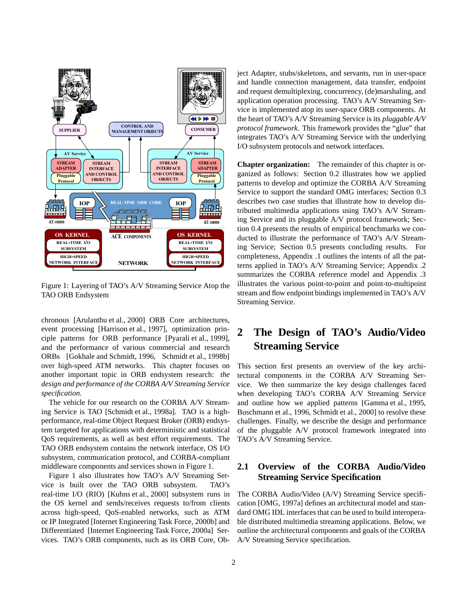

Figure 1: Layering of TAO's A/V Streaming Service Atop the TAO ORB Endsystem

chronous [Arulanthu et al., 2000] ORB Core architectures, event processing [Harrison et al., 1997], optimization principle patterns for ORB performance [Pyarali et al., 1999], and the performance of various commercial and research ORBs [Gokhale and Schmidt, 1996, Schmidt et al., 1998b] over high-speed ATM networks. This chapter focuses on another important topic in ORB endsystem research: *the design and performance of the CORBA A/V Streaming Service specification*.

The vehicle for our research on the CORBA A/V Streaming Service is TAO [Schmidt et al., 1998a]. TAO is a highperformance, real-time Object Request Broker (ORB) endsystem targeted for applications with deterministic and statistical QoS requirements, as well as best effort requirements. The TAO ORB endsystem contains the network interface, OS I/O subsystem, communication protocol, and CORBA-compliant middleware components and services shown in Figure 1.

Figure 1 also illustrates how TAO's A/V Streaming Service is built over the TAO ORB subsystem. TAO's real-time I/O (RIO) [Kuhns et al., 2000] subsystem runs in the OS kernel and sends/receives requests to/from clients across high-speed, QoS-enabled networks, such as ATM or IP Integrated [Internet Engineering Task Force, 2000b] and Differentiated [Internet Engineering Task Force, 2000a] Services. TAO's ORB components, such as its ORB Core, Object Adapter, stubs/skeletons, and servants, run in user-space and handle connection management, data transfer, endpoint and request demultiplexing, concurrency, (de)marshaling, and application operation processing. TAO's A/V Streaming Service is implemented atop its user-space ORB components. At the heart of TAO's A/V Streaming Service is its *pluggable A/V protocol framework*. This framework provides the "glue" that integrates TAO's A/V Streaming Service with the underlying I/O subsystem protocols and network interfaces.

**Chapter organization:** The remainder of this chapter is organized as follows: Section 0.2 illustrates how we applied patterns to develop and optimize the CORBA A/V Streaming Service to support the standard OMG interfaces; Section 0.3 describes two case studies that illustrate how to develop distributed multimedia applications using TAO's A/V Streaming Service and its pluggable A/V protocol framework; Section 0.4 presents the results of empirical benchmarks we conducted to illustrate the performance of TAO's A/V Streaming Service; Section 0.5 presents concluding results. For completeness, Appendix .1 outlines the intents of all the patterns applied in TAO's A/V Streaming Service; Appendix .2 summarizes the CORBA reference model and Appendix .3 illustrates the various point-to-point and point-to-multipoint stream and flow endpoint bindings implemented in TAO's A/V Streaming Service.

# **2 The Design of TAO's Audio/Video Streaming Service**

This section first presents an overview of the key architectural components in the CORBA A/V Streaming Service. We then summarize the key design challenges faced when developing TAO's CORBA A/V Streaming Service and outline how we applied patterns [Gamma et al., 1995, Buschmann et al., 1996, Schmidt et al., 2000] to resolve these challenges. Finally, we describe the design and performance of the pluggable A/V protocol framework integrated into TAO's A/V Streaming Service.

## **2.1 Overview of the CORBA Audio/Video Streaming Service Specification**

The CORBA Audio/Video (A/V) Streaming Service specification [OMG, 1997a] defines an architectural model and standard OMG IDL interfaces that can be used to build interoperable distributed multimedia streaming applications. Below, we outline the architectural components and goals of the CORBA A/V Streaming Service specification.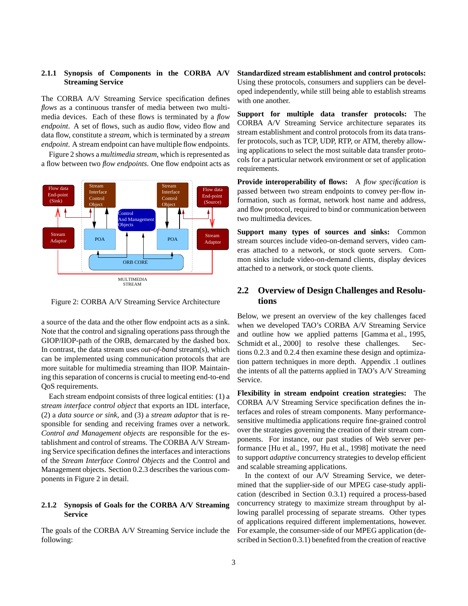## **2.1.1 Synopsis of Components in the CORBA A/V Streaming Service**

The CORBA A/V Streaming Service specification defines *flows* as a continuous transfer of media between two multimedia devices. Each of these flows is terminated by a *flow endpoint*. A set of flows, such as audio flow, video flow and data flow, constitute a *stream*, which is terminated by a *stream endpoint*. A stream endpoint can have multiple flow endpoints.

Figure 2 shows a *multimedia stream*, which is represented as a flow between two *flow endpoints*. One flow endpoint acts as



Figure 2: CORBA A/V Streaming Service Architecture

a source of the data and the other flow endpoint acts as a sink. Note that the control and signaling operations pass through the GIOP/IIOP-path of the ORB, demarcated by the dashed box. In contrast, the data stream uses *out-of-band* stream(s), which can be implemented using communication protocols that are more suitable for multimedia streaming than IIOP. Maintaining this separation of concerns is crucial to meeting end-to-end QoS requirements.

Each stream endpoint consists of three logical entities: (1) a *stream interface control object* that exports an IDL interface, (2) a *data source or sink*, and (3) a *stream adaptor* that is responsible for sending and receiving frames over a network. *Control and Management objects* are responsible for the establishment and control of streams. The CORBA A/V Streaming Service specification defines the interfaces and interactions of the *Stream Interface Control Objects* and the Control and Management objects. Section 0.2.3 describes the various components in Figure 2 in detail.

### **2.1.2 Synopsis of Goals for the CORBA A/V Streaming Service**

The goals of the CORBA A/V Streaming Service include the following:

**Standardized stream establishment and control protocols:** Using these protocols, consumers and suppliers can be developed independently, while still being able to establish streams with one another.

**Support for multiple data transfer protocols:** The CORBA A/V Streaming Service architecture separates its stream establishment and control protocols from its data transfer protocols, such as TCP, UDP, RTP, or ATM, thereby allowing applications to select the most suitable data transfer protocols for a particular network environment or set of application requirements.

**Provide interoperability of flows:** A *flow specification* is passed between two stream endpoints to convey per-flow information, such as format, network host name and address, and flow protocol, required to bind or communication between two multimedia devices.

**Support many types of sources and sinks:** Common stream sources include video-on-demand servers, video cameras attached to a network, or stock quote servers. Common sinks include video-on-demand clients, display devices attached to a network, or stock quote clients.

## **2.2 Overview of Design Challenges and Resolutions**

Below, we present an overview of the key challenges faced when we developed TAO's CORBA A/V Streaming Service and outline how we applied patterns [Gamma et al., 1995, Schmidt et al., 2000] to resolve these challenges. Sections 0.2.3 and 0.2.4 then examine these design and optimization pattern techniques in more depth. Appendix .1 outlines the intents of all the patterns applied in TAO's A/V Streaming Service.

**Flexibility in stream endpoint creation strategies:** The CORBA A/V Streaming Service specification defines the interfaces and roles of stream components. Many performancesensitive multimedia applications require fine-grained control over the strategies governing the creation of their stream components. For instance, our past studies of Web server performance [Hu et al., 1997, Hu et al., 1998] motivate the need to support *adaptive* concurrency strategies to develop efficient and scalable streaming applications.

In the context of our A/V Streaming Service, we determined that the supplier-side of our MPEG case-study application (described in Section 0.3.1) required a process-based concurrency strategy to maximize stream throughput by allowing parallel processing of separate streams. Other types of applications required different implementations, however. For example, the consumer-side of our MPEG application (described in Section 0.3.1) benefited from the creation of reactive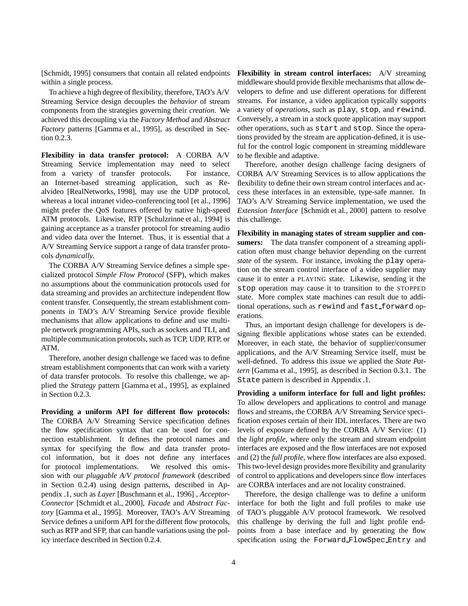[Schmidt, 1995] consumers that contain all related endpoints within a single process.

To achieve a high degree of flexibility, therefore, TAO's A/V Streaming Service design decouples the *behavior* of stream components from the strategies governing their *creation*. We achieved this decoupling via the *Factory Method* and *Abstract Factory* patterns [Gamma et al., 1995], as described in Section 0.2.3.

**Flexibility in data transfer protocol:** A CORBA A/V Streaming Service implementation may need to select from a variety of transfer protocols. For instance, an Internet-based streaming application, such as Realvideo [RealNetworks, 1998], may use the UDP protocol, whereas a local intranet video-conferencing tool [et al., 1996] might prefer the QoS features offered by native high-speed ATM protocols. Likewise, RTP [Schulzrinne et al., 1994] is gaining acceptance as a transfer protocol for streaming audio and video data over the Internet. Thus, it is essential that a A/V Streaming Service support a range of data transfer protocols *dynamically*.

The CORBA A/V Streaming Service defines a simple specialized protocol *Simple Flow Protocol* (SFP), which makes no assumptions about the communication protocols used for data streaming and provides an architecture independent flow content transfer. Consequently, the stream establishment components in TAO's A/V Streaming Service provide flexible mechanisms that allow applications to define and use multiple network programming APIs, such as sockets and TLI, and multiple communication protocols, such as TCP, UDP, RTP, or ATM.

Therefore, another design challenge we faced was to define stream establishment components that can work with a variety of data transfer protocols. To resolve this challenge, we applied the *Strategy* pattern [Gamma et al., 1995], as explained in Section 0.2.3.

**Providing a uniform API for different flow protocols:** The CORBA A/V Streaming Service specification defines the flow specification syntax that can be used for connection establishment. It defines the protocol names and syntax for specifying the flow and data transfer protocol information, but it does not define any interfaces for protocol implementations. We resolved this omission with our *pluggable A/V protocol framework* (described in Section 0.2.4) using design patterns, described in Appendix .1, such as *Layer* [Buschmann et al., 1996] , *Acceptor-Connector* [Schmidt et al., 2000], *Facade* and *Abstract Factory* [Gamma et al., 1995]. Moreover, TAO's A/V Streaming Service defines a uniform API for the different flow protocols, such as RTP and SFP, that can handle variations using the policy interface described in Section 0.2.4.

**Flexibility in stream control interfaces:** A/V streaming middleware should provide flexible mechanisms that allow developers to define and use different operations for different streams. For instance, a video application typically supports a variety of *operations*, such as play, stop, and rewind. Conversely, a stream in a stock quote application may support other operations, such as start and stop. Since the operations provided by the stream are application-defined, it is useful for the control logic component in streaming middleware to be flexible and adaptive.

Therefore, another design challenge facing designers of CORBA A/V Streaming Services is to allow applications the flexibility to define their own stream control interfaces and access these interfaces in an extensible, type-safe manner. In TAO's A/V Streaming Service implementation, we used the *Extension Interface* [Schmidt et al., 2000] pattern to resolve this challenge.

**Flexibility in managing states of stream supplier and consumers:** The data transfer component of a streaming application often must change behavior depending on the current *state* of the system. For instance, invoking the play operation on the stream control interface of a video supplier may cause it to enter a PLAYING state. Likewise, sending it the stop operation may cause it to transition to the STOPPED state. More complex state machines can result due to additional operations, such as rewind and fast forward operations.

Thus, an important design challenge for developers is designing flexible applications whose states can be extended. Moreover, in each state, the behavior of supplier/consumer applications, and the A/V Streaming Service itself, must be well-defined. To address this issue we applied the *State Pattern* [Gamma et al., 1995], as described in Section 0.3.1. The State pattern is described in Appendix .1.

**Providing a uniform interface for full and light profiles:** To allow developers and applications to control and manage flows and streams, the CORBA A/V Streaming Service specification exposes certain of their IDL interfaces. There are two levels of exposure defined by the CORBA A/V Service: (1) the *light profile*, where only the stream and stream endpoint interfaces are exposed and the flow interfaces are not exposed and (2) the *full profile*, where flow interfaces are also exposed. This two-level design provides more flexibility and granularity of control to applications and developers since flow interfaces are CORBA interfaces and are not locality constrained.

Therefore, the design challenge was to define a uniform interface for both the light and full profiles to make use of TAO's pluggable A/V protocol framework. We resolved this challenge by deriving the full and light profile endpoints from a base interface and by generating the flow specification using the Forward FlowSpec Entry and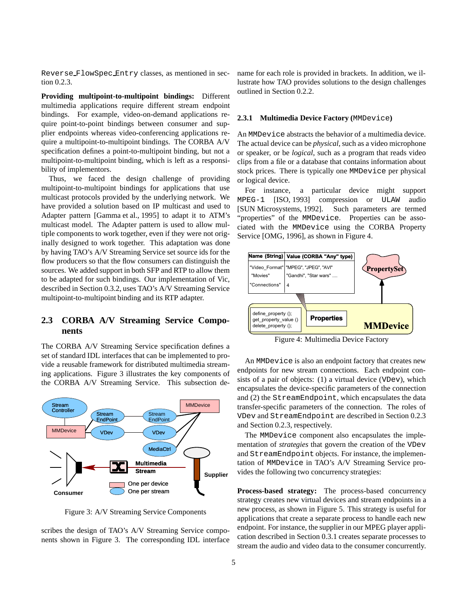Reverse FlowSpec Entry classes, as mentioned in section 0.2.3.

**Providing multipoint-to-multipoint bindings:** Different multimedia applications require different stream endpoint bindings. For example, video-on-demand applications require point-to-point bindings between consumer and supplier endpoints whereas video-conferencing applications require a multipoint-to-multipoint bindings. The CORBA A/V specification defines a point-to-multipoint binding, but not a multipoint-to-multipoint binding, which is left as a responsibility of implementors.

Thus, we faced the design challenge of providing multipoint-to-multipoint bindings for applications that use multicast protocols provided by the underlying network. We have provided a solution based on IP multicast and used to Adapter pattern [Gamma et al., 1995] to adapt it to ATM's multicast model. The Adapter pattern is used to allow multiple components to work together, even if they were not originally designed to work together. This adaptation was done by having TAO's A/V Streaming Service set source ids for the flow producers so that the flow consumers can distinguish the sources. We added support in both SFP and RTP to allow them to be adapted for such bindings. Our implementation of Vic, described in Section 0.3.2, uses TAO's A/V Streaming Service multipoint-to-multipoint binding and its RTP adapter.

## **2.3 CORBA A/V Streaming Service Components**

The CORBA A/V Streaming Service specification defines a set of standard IDL interfaces that can be implemented to provide a reusable framework for distributed multimedia streaming applications. Figure 3 illustrates the key components of the CORBA A/V Streaming Service. This subsection de-



Figure 3: A/V Streaming Service Components

scribes the design of TAO's A/V Streaming Service components shown in Figure 3. The corresponding IDL interface name for each role is provided in brackets. In addition, we illustrate how TAO provides solutions to the design challenges outlined in Section 0.2.2.

#### **2.3.1 Multimedia Device Factory (**MMDevice**)**

An MMDevice abstracts the behavior of a multimedia device. The actual device can be *physical*, such as a video microphone or speaker, or be *logical*, such as a program that reads video clips from a file or a database that contains information about stock prices. There is typically one MMDevice per physical or logical device.

For instance, a particular device might support MPEG-1 [ISO, 1993] compression or ULAW audio [SUN Microsystems, 1992]. Such parameters are termed "properties" of the MMDevice. Properties can be associated with the MMDevice using the CORBA Property Service [OMG, 1996], as shown in Figure 4.



Figure 4: Multimedia Device Factory

An MMDevice is also an endpoint factory that creates new endpoints for new stream connections. Each endpoint consists of a pair of objects: (1) a virtual device (VDev), which encapsulates the device-specific parameters of the connection and (2) the StreamEndpoint, which encapsulates the data transfer-specific parameters of the connection. The roles of VDev and StreamEndpoint are described in Section 0.2.3 and Section 0.2.3, respectively.

The MMDevice component also encapsulates the implementation of *strategies* that govern the creation of the VDev and StreamEndpoint objects. For instance, the implementation of MMDevice in TAO's A/V Streaming Service provides the following two concurrency strategies:

**Process-based strategy:** The process-based concurrency strategy creates new virtual devices and stream endpoints in a new process, as shown in Figure 5. This strategy is useful for applications that create a separate process to handle each new endpoint. For instance, the supplier in our MPEG player application described in Section 0.3.1 creates separate processes to stream the audio and video data to the consumer concurrently.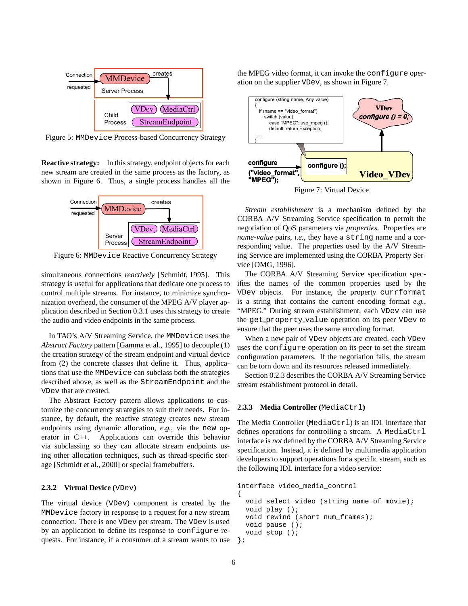

Figure 5: MMDevice Process-based Concurrency Strategy

**Reactive strategy:** In this strategy, endpoint objects for each new stream are created in the same process as the factory, as shown in Figure 6. Thus, a single process handles all the



Figure 6: MMDevice Reactive Concurrency Strategy

simultaneous connections *reactively* [Schmidt, 1995]. This strategy is useful for applications that dedicate one process to control multiple streams. For instance, to minimize synchronization overhead, the consumer of the MPEG A/V player application described in Section 0.3.1 uses this strategy to create the audio and video endpoints in the same process.

In TAO's A/V Streaming Service, the MMDevice uses the *Abstract Factory* pattern [Gamma et al., 1995] to decouple (1) the creation strategy of the stream endpoint and virtual device from (2) the concrete classes that define it. Thus, applications that use the MMDevice can subclass both the strategies described above, as well as the StreamEndpoint and the VDev that are created.

The Abstract Factory pattern allows applications to customize the concurrency strategies to suit their needs. For instance, by default, the reactive strategy creates new stream endpoints using dynamic allocation, *e.g.*, via the new operator in C++. Applications can override this behavior via subclassing so they can allocate stream endpoints using other allocation techniques, such as thread-specific storage [Schmidt et al., 2000] or special framebuffers.

### **2.3.2 Virtual Device (**VDev**)**

The virtual device (VDev) component is created by the MMDevice factory in response to a request for a new stream connection. There is one VDev per stream. The VDev is used by an application to define its response to configure requests. For instance, if a consumer of a stream wants to use the MPEG video format, it can invoke the configure operation on the supplier VDev, as shown in Figure 7.



Figure 7: Virtual Device

*Stream establishment* is a mechanism defined by the CORBA A/V Streaming Service specification to permit the negotiation of QoS parameters via *properties*. Properties are *name-value* pairs, *i.e.*, they have a string name and a corresponding value. The properties used by the A/V Streaming Service are implemented using the CORBA Property Service [OMG, 1996].

The CORBA A/V Streaming Service specification specifies the names of the common properties used by the VDev objects. For instance, the property currformat is a string that contains the current encoding format *e.g.*, "MPEG." During stream establishment, each VDev can use the get property value operation on its peer VDev to ensure that the peer uses the same encoding format.

When a new pair of VDev objects are created, each VDev uses the configure operation on its peer to set the stream configuration parameters. If the negotiation fails, the stream can be torn down and its resources released immediately.

Section 0.2.3 describes the CORBA A/V Streaming Service stream establishment protocol in detail.

#### **2.3.3 Media Controller (**MediaCtrl**)**

The Media Controller (MediaCtrl) is an IDL interface that defines operations for controlling a stream. A MediaCtrl interface is *not* defined by the CORBA A/V Streaming Service specification. Instead, it is defined by multimedia application developers to support operations for a specific stream, such as the following IDL interface for a video service:

```
interface video_media_control
{
  void select_video (string name_of_movie);
  void play ();
  void rewind (short num_frames);
  void pause ();
  void stop ();
};
```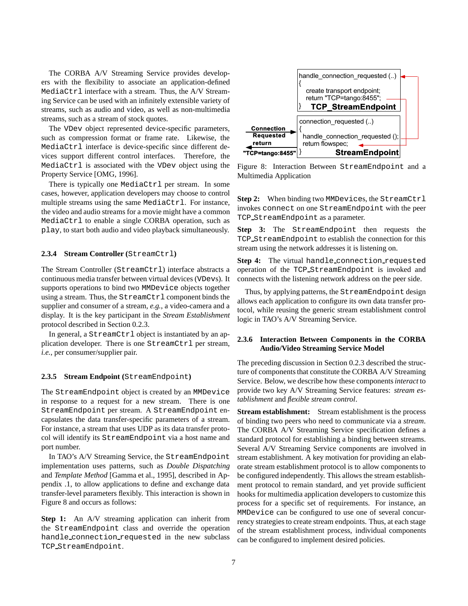The CORBA A/V Streaming Service provides developers with the flexibility to associate an application-defined MediaCtrl interface with a stream. Thus, the A/V Streaming Service can be used with an infinitely extensible variety of streams, such as audio and video, as well as non-multimedia streams, such as a stream of stock quotes.

The VDev object represented device-specific parameters, such as compression format or frame rate. Likewise, the MediaCtrl interface is device-specific since different devices support different control interfaces. Therefore, the MediaCtrl is associated with the VDev object using the Property Service [OMG, 1996].

There is typically one MediaCtrl per stream. In some cases, however, application developers may choose to control multiple streams using the same MediaCtrl. For instance, the video and audio streams for a movie might have a common MediaCtrl to enable a single CORBA operation, such as play, to start both audio and video playback simultaneously.

#### **2.3.4 Stream Controller (**StreamCtrl**)**

The Stream Controller (StreamCtrl) interface abstracts a continuous media transfer between virtual devices (VDevs). It supports operations to bind two MMDevice objects together using a stream. Thus, the StreamCtrl component binds the supplier and consumer of a stream, *e.g.*, a video-camera and a display. It is the key participant in the *Stream Establishment* protocol described in Section 0.2.3.

In general, a StreamCtrl object is instantiated by an application developer. There is one StreamCtrl per stream, *i.e.*, per consumer/supplier pair.

#### **2.3.5 Stream Endpoint (**StreamEndpoint**)**

The StreamEndpoint object is created by an MMDevice in response to a request for a new stream. There is one StreamEndpoint per stream. A StreamEndpoint encapsulates the data transfer-specific parameters of a stream. For instance, a stream that uses UDP as its data transfer protocol will identify its StreamEndpoint via a host name and port number.

In TAO's A/V Streaming Service, the StreamEndpoint implementation uses patterns, such as *Double Dispatching* and *Template Method* [Gamma et al., 1995], described in Appendix .1, to allow applications to define and exchange data transfer-level parameters flexibly. This interaction is shown in Figure 8 and occurs as follows:

**Step 1:** An A/V streaming application can inherit from the StreamEndpoint class and override the operation handle connection requested in the new subclass TCP StreamEndpoint.



Figure 8: Interaction Between StreamEndpoint and a Multimedia Application

**Step 2:** When binding two MMDevices, the StreamCtrl invokes connect on one StreamEndpoint with the peer TCP StreamEndpoint as a parameter.

**Step 3:** The StreamEndpoint then requests the TCP StreamEndpoint to establish the connection for this stream using the network addresses it is listening on.

**Step 4:** The virtual handle connection requested operation of the TCP StreamEndpoint is invoked and connects with the listening network address on the peer side.

Thus, by applying patterns, the StreamEndpoint design allows each application to configure its own data transfer protocol, while reusing the generic stream establishment control logic in TAO's A/V Streaming Service.

## **2.3.6 Interaction Between Components in the CORBA Audio/Video Streaming Service Model**

The preceding discussion in Section 0.2.3 described the structure of components that constitute the CORBA A/V Streaming Service. Below, we describe how these components*interact* to provide two key A/V Streaming Service features: *stream establishment* and *flexible stream control*.

**Stream establishment:** Stream establishment is the process of binding two peers who need to communicate via a *stream*. The CORBA A/V Streaming Service specification defines a standard protocol for establishing a binding between streams. Several A/V Streaming Service components are involved in stream establishment. A key motivation for providing an elaborate stream establishment protocol is to allow components to be configured independently. This allows the stream establishment protocol to remain standard, and yet provide sufficient hooks for multimedia application developers to customize this process for a specific set of requirements. For instance, an MMDevice can be configured to use one of several concurrency strategies to create stream endpoints. Thus, at each stage of the stream establishment process, individual components can be configured to implement desired policies.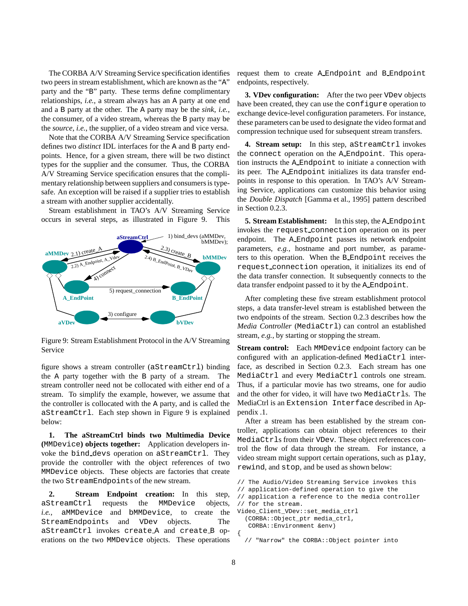The CORBA A/V Streaming Service specification identifies two peers in stream establishment, which are known as the "A" party and the "B" party. These terms define complimentary relationships, *i.e.*, a stream always has an A party at one end and a B party at the other. The A party may be the *sink*, *i.e.*, the consumer, of a video stream, whereas the B party may be the *source*, *i.e.*, the supplier, of a video stream and vice versa.

Note that the CORBA A/V Streaming Service specification defines two *distinct* IDL interfaces for the A and B party endpoints. Hence, for a given stream, there will be two distinct types for the supplier and the consumer. Thus, the CORBA A/V Streaming Service specification ensures that the complimentary relationship between suppliers and consumers is typesafe. An exception will be raised if a supplier tries to establish a stream with another supplier accidentally.

Stream establishment in TAO's A/V Streaming Service occurs in several steps, as illustrated in Figure 9. This



Figure 9: Stream Establishment Protocol in the A/V Streaming Service

figure shows a stream controller (aStreamCtrl) binding the A party together with the B party of a stream. The stream controller need not be collocated with either end of a stream. To simplify the example, however, we assume that the controller is collocated with the A party, and is called the aStreamCtrl. Each step shown in Figure 9 is explained below:

**1. The aStreamCtrl binds two Multimedia Device (**MMDevice**) objects together:** Application developers invoke the bind devs operation on aStreamCtrl. They provide the controller with the object references of two MMDevice objects. These objects are factories that create the two StreamEndpoints of the new stream.

**2. Stream Endpoint creation:** In this step, aStreamCtrl requests the MMDevice objects, *i.e.*, aMMDevice and bMMDevice, to create the StreamEndpoints and VDev objects. The aStreamCtrl invokes create A and create B operations on the two MMDevice objects. These operations request them to create A Endpoint and B Endpoint endpoints, respectively.

**3. VDev configuration:** After the two peer VDev objects have been created, they can use the configure operation to exchange device-level configuration parameters. For instance, these parameters can be used to designate the video format and compression technique used for subsequent stream transfers.

**4. Stream setup:** In this step, aStreamCtrl invokes the connect operation on the A Endpoint. This operation instructs the A Endpoint to initiate a connection with its peer. The A Endpoint initializes its data transfer endpoints in response to this operation. In TAO's A/V Streaming Service, applications can customize this behavior using the *Double Dispatch* [Gamma et al., 1995] pattern described in Section 0.2.3.

**5. Stream Establishment:** In this step, the A Endpoint invokes the request connection operation on its peer endpoint. The A Endpoint passes its network endpoint parameters, *e.g.*, hostname and port number, as parameters to this operation. When the B Endpoint receives the request connection operation, it initializes its end of the data transfer connection. It subsequently connects to the data transfer endpoint passed to it by the A Endpoint.

After completing these five stream establishment protocol steps, a data transfer-level stream is established between the two endpoints of the stream. Section 0.2.3 describes how the *Media Controller* (MediaCtrl) can control an established stream, *e.g.*, by starting or stopping the stream.

**Stream control:** Each MMDevice endpoint factory can be configured with an application-defined MediaCtrl interface, as described in Section 0.2.3. Each stream has one MediaCtrl and every MediaCtrl controls one stream. Thus, if a particular movie has two streams, one for audio and the other for video, it will have two MediaCtrls. The MediaCtrl is an Extension Interface described in Appendix .1.

After a stream has been established by the stream controller, applications can obtain object references to their MediaCtrls from their VDev. These object references control the flow of data through the stream. For instance, a video stream might support certain operations, such as play, rewind, and stop, and be used as shown below:

- // The Audio/Video Streaming Service invokes this
- // application-defined operation to give the

```
// application a reference to the media controller
```

```
// for the stream.
Video_Client_VDev::set_media_ctrl
```

```
(CORBA::Object_ptr media_ctrl,
  CORBA::Environment &env)
{
```
// "Narrow" the CORBA::Object pointer into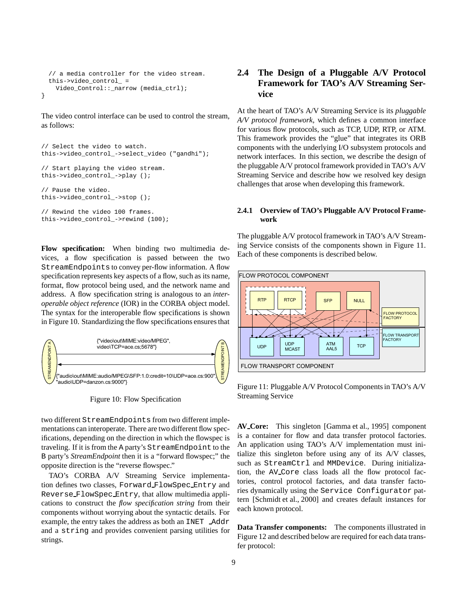```
// a media controller for the video stream.
this->video_control_ =
 Video_Control::_narrow (media_ctrl);
```
}

The video control interface can be used to control the stream, as follows:

```
// Select the video to watch.
this->video_control_->select_video ("gandhi");
// Start playing the video stream.
this->video_control_->play ();
// Pause the video.
this->video_control_->stop ();
// Rewind the video 100 frames.
this->video_control_->rewind (100);
```
**Flow specification:** When binding two multimedia devices, a flow specification is passed between the two StreamEndpoints to convey per-flow information. A flow specification represents key aspects of a flow, such as its name, format, flow protocol being used, and the network name and address. A flow specification string is analogous to an *interoperable object reference* (IOR) in the CORBA object model. The syntax for the interoperable flow specifications is shown in Figure 10. Standardizing the flow specifications ensures that



Figure 10: Flow Specification

two different StreamEndpoints from two different implementations can interoperate. There are two different flow specifications, depending on the direction in which the flowspec is traveling. If it is from the A party's StreamEndpoint to the B party's *StreamEndpoint* then it is a "forward flowspec;" the opposite direction is the "reverse flowspec."

TAO's CORBA A/V Streaming Service implementation defines two classes, Forward FlowSpec Entry and Reverse FlowSpec Entry, that allow multimedia applications to construct the *flow specification string* from their components without worrying about the syntactic details. For example, the entry takes the address as both an INET \_Addr and a string and provides convenient parsing utilities for strings.

## **2.4 The Design of a Pluggable A/V Protocol Framework for TAO's A/V Streaming Service**

At the heart of TAO's A/V Streaming Service is its *pluggable A/V protocol framework*, which defines a common interface for various flow protocols, such as TCP, UDP, RTP, or ATM. This framework provides the "glue" that integrates its ORB components with the underlying I/O subsystem protocols and network interfaces. In this section, we describe the design of the pluggable A/V protocol framework provided in TAO's A/V Streaming Service and describe how we resolved key design challenges that arose when developing this framework.

## **2.4.1 Overview of TAO's Pluggable A/V Protocol Framework**

The pluggable A/V protocol framework in TAO's A/V Streaming Service consists of the components shown in Figure 11. Each of these components is described below.



Figure 11: Pluggable A/V Protocol Components in TAO's A/V Streaming Service

**AV Core:** This singleton [Gamma et al., 1995] component is a container for flow and data transfer protocol factories. An application using TAO's A/V implementation must initialize this singleton before using any of its A/V classes, such as StreamCtrl and MMDevice. During initialization, the AV Core class loads all the flow protocol factories, control protocol factories, and data transfer factories dynamically using the Service Configurator pattern [Schmidt et al., 2000] and creates default instances for each known protocol.

**Data Transfer components:** The components illustrated in Figure 12 and described below are required for each data transfer protocol: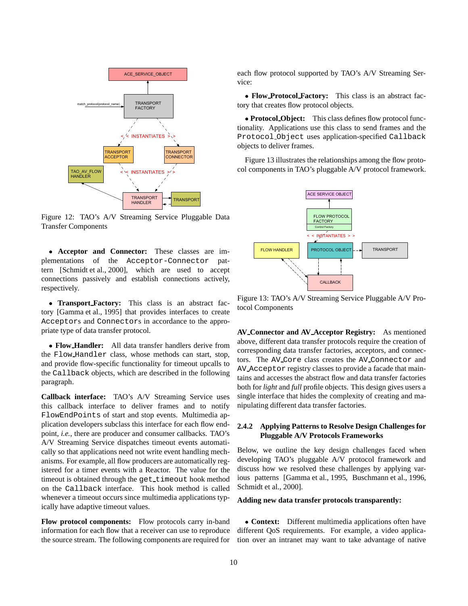

Figure 12: TAO's A/V Streaming Service Pluggable Data Transfer Components

 **Acceptor and Connector:** These classes are implementations of the Acceptor-Connector pattern [Schmidt et al., 2000], which are used to accept connections passively and establish connections actively, respectively.

 **Transport Factory:** This class is an abstract factory [Gamma et al., 1995] that provides interfaces to create Acceptors and Connectors in accordance to the appropriate type of data transfer protocol.

 **Flow Handler:** All data transfer handlers derive from the Flow Handler class, whose methods can start, stop, and provide flow-specific functionality for timeout upcalls to the Callback objects, which are described in the following paragraph.

**Callback interface:** TAO's A/V Streaming Service uses this callback interface to deliver frames and to notify FlowEndPoints of start and stop events. Multimedia application developers subclass this interface for each flow endpoint, *i.e.*, there are producer and consumer callbacks. TAO's A/V Streaming Service dispatches timeout events automatically so that applications need not write event handling mechanisms. For example, all flow producers are automatically registered for a timer events with a Reactor. The value for the timeout is obtained through the get\_timeout hook method on the Callback interface. This hook method is called whenever a timeout occurs since multimedia applications typically have adaptive timeout values.

**Flow protocol components:** Flow protocols carry in-band information for each flow that a receiver can use to reproduce the source stream. The following components are required for

each flow protocol supported by TAO's A/V Streaming Service:

 **Flow Protocol Factory:** This class is an abstract factory that creates flow protocol objects.

 **Protocol Object:** This class defines flow protocol functionality. Applications use this class to send frames and the Protocol Object uses application-specified Callback objects to deliver frames.

Figure 13 illustrates the relationships among the flow protocol components in TAO's pluggable A/V protocol framework.



Figure 13: TAO's A/V Streaming Service Pluggable A/V Protocol Components

**AV Connector and AV Acceptor Registry:** As mentioned above, different data transfer protocols require the creation of corresponding data transfer factories, acceptors, and connectors. The AV Core class creates the AV Connector and AV Acceptor registry classes to provide a facade that maintains and accesses the abstract flow and data transfer factories both for *light* and *full* profile objects. This design gives users a single interface that hides the complexity of creating and manipulating different data transfer factories.

### **2.4.2 Applying Patterns to Resolve Design Challenges for Pluggable A/V Protocols Frameworks**

Below, we outline the key design challenges faced when developing TAO's pluggable A/V protocol framework and discuss how we resolved these challenges by applying various patterns [Gamma et al., 1995, Buschmann et al., 1996, Schmidt et al., 2000].

### **Adding new data transfer protocols transparently:**

• Context: Different multimedia applications often have different QoS requirements. For example, a video application over an intranet may want to take advantage of native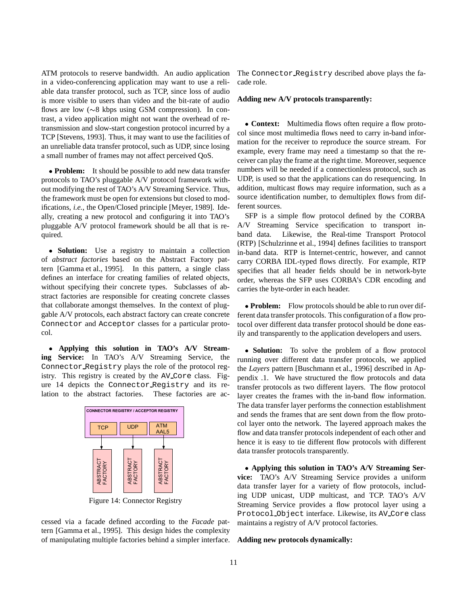ATM protocols to reserve bandwidth. An audio application in a video-conferencing application may want to use a reliable data transfer protocol, such as TCP, since loss of audio is more visible to users than video and the bit-rate of audio flows are low  $({\sim}8$  kbps using GSM compression). In contrast, a video application might not want the overhead of retransmission and slow-start congestion protocol incurred by a TCP [Stevens, 1993]. Thus, it may want to use the facilities of an unreliable data transfer protocol, such as UDP, since losing a small number of frames may not affect perceived QoS.

 **Problem:** It should be possible to add new data transfer protocols to TAO's pluggable A/V protocol framework without modifying the rest of TAO's A/V Streaming Service. Thus, the framework must be open for extensions but closed to modifications, *i.e.*, the Open/Closed principle [Meyer, 1989]. Ideally, creating a new protocol and configuring it into TAO's pluggable A/V protocol framework should be all that is required.

 **Solution:** Use a registry to maintain a collection of *abstract factories* based on the Abstract Factory pattern [Gamma et al., 1995]. In this pattern, a single class defines an interface for creating families of related objects, without specifying their concrete types. Subclasses of abstract factories are responsible for creating concrete classes that collaborate amongst themselves. In the context of pluggable A/V protocols, each abstract factory can create concrete Connector and Acceptor classes for a particular protocol.

 **Applying this solution in TAO's A/V Streaming Service:** In TAO's A/V Streaming Service, the Connector Registry plays the role of the protocol registry. This registry is created by the AV Core class. Figure 14 depicts the Connector Registry and its relation to the abstract factories. These factories are ac-



Figure 14: Connector Registry

cessed via a facade defined according to the *Facade* pattern [Gamma et al., 1995]. This design hides the complexity of manipulating multiple factories behind a simpler interface. The Connector Registry described above plays the facade role.

### **Adding new A/V protocols transparently:**

• Context: Multimedia flows often require a flow protocol since most multimedia flows need to carry in-band information for the receiver to reproduce the source stream. For example, every frame may need a timestamp so that the receiver can play the frame at the right time. Moreover, sequence numbers will be needed if a connectionless protocol, such as UDP, is used so that the applications can do resequencing. In addition, multicast flows may require information, such as a source identification number, to demultiplex flows from different sources.

SFP is a simple flow protocol defined by the CORBA A/V Streaming Service specification to transport inband data. Likewise, the Real-time Transport Protocol (RTP) [Schulzrinne et al., 1994] defines facilities to transport in-band data. RTP is Internet-centric, however, and cannot carry CORBA IDL-typed flows directly. For example, RTP specifies that all header fields should be in network-byte order, whereas the SFP uses CORBA's CDR encoding and carries the byte-order in each header.

 **Problem:** Flow protocols should be able to run over different data transfer protocols. This configuration of a flow protocol over different data transfer protocol should be done easily and transparently to the application developers and users.

 **Solution:** To solve the problem of a flow protocol running over different data transfer protocols, we applied the *Layers* pattern [Buschmann et al., 1996] described in Appendix .1. We have structured the flow protocols and data transfer protocols as two different layers. The flow protocol layer creates the frames with the in-band flow information. The data transfer layer performs the connection establishment and sends the frames that are sent down from the flow protocol layer onto the network. The layered approach makes the flow and data transfer protocols independent of each other and hence it is easy to tie different flow protocols with different data transfer protocols transparently.

 **Applying this solution in TAO's A/V Streaming Service:** TAO's A/V Streaming Service provides a uniform data transfer layer for a variety of flow protocols, including UDP unicast, UDP multicast, and TCP. TAO's A/V Streaming Service provides a flow protocol layer using a Protocol Object interface. Likewise, its AV Core class maintains a registry of A/V protocol factories.

#### **Adding new protocols dynamically:**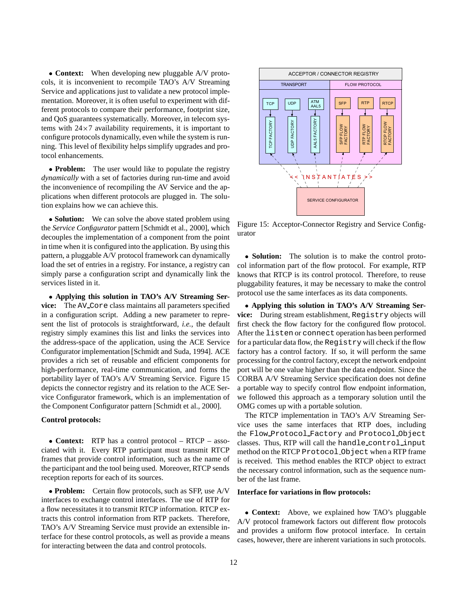• **Context:** When developing new pluggable A/V protocols, it is inconvenient to recompile TAO's A/V Streaming Service and applications just to validate a new protocol implementation. Moreover, it is often useful to experiment with different protocols to compare their performance, footprint size, and QoS guarantees systematically. Moreover, in telecom systems with  $24\times7$  availability requirements, it is important to configure protocols dynamically, even while the system is running. This level of flexibility helps simplify upgrades and protocol enhancements.

• **Problem:** The user would like to populate the registry *dynamically* with a set of factories during run-time and avoid the inconvenience of recompiling the AV Service and the applications when different protocols are plugged in. The solution explains how we can achieve this.

• **Solution:** We can solve the above stated problem using the *Service Configurator* pattern [Schmidt et al., 2000], which decouples the implementation of a component from the point in time when it is configured into the application. By using this pattern, a pluggable A/V protocol framework can dynamically load the set of entries in a registry. For instance, a registry can simply parse a configuration script and dynamically link the services listed in it.

 **Applying this solution in TAO's A/V Streaming Service:** The AV Core class maintains all parameters specified in a configuration script. Adding a new parameter to represent the list of protocols is straightforward, *i.e.*, the default registry simply examines this list and links the services into the address-space of the application, using the ACE Service Configurator implementation [Schmidt and Suda, 1994]. ACE provides a rich set of reusable and efficient components for high-performance, real-time communication, and forms the portability layer of TAO's A/V Streaming Service. Figure 15 depicts the connector registry and its relation to the ACE Service Configurator framework, which is an implementation of the Component Configurator pattern [Schmidt et al., 2000].

#### **Control protocols:**

 **Context:** RTP has a control protocol – RTCP – associated with it. Every RTP participant must transmit RTCP frames that provide control information, such as the name of the participant and the tool being used. Moreover, RTCP sends reception reports for each of its sources.

• Problem: Certain flow protocols, such as SFP, use A/V interfaces to exchange control interfaces. The use of RTP for a flow necessitates it to transmit RTCP information. RTCP extracts this control information from RTP packets. Therefore, TAO's A/V Streaming Service must provide an extensible interface for these control protocols, as well as provide a means for interacting between the data and control protocols.



Figure 15: Acceptor-Connector Registry and Service Configurator

 **Solution:** The solution is to make the control protocol information part of the flow protocol. For example, RTP knows that RTCP is its control protocol. Therefore, to reuse pluggability features, it may be necessary to make the control protocol use the same interfaces as its data components.

 **Applying this solution in TAO's A/V Streaming Service:** During stream establishment, Registry objects will first check the flow factory for the configured flow protocol. After the listen or connect operation has been performed for a particular data flow, the Registry will check if the flow factory has a control factory. If so, it will perform the same processing for the control factory, except the network endpoint port will be one value higher than the data endpoint. Since the CORBA A/V Streaming Service specification does not define a portable way to specify control flow endpoint information, we followed this approach as a temporary solution until the OMG comes up with a portable solution.

The RTCP implementation in TAO's A/V Streaming Service uses the same interfaces that RTP does, including the Flow Protocol Factory and Protocol Object classes. Thus, RTP will call the handle control input method on the RTCP Protocol Object when a RTP frame is received. This method enables the RTCP object to extract the necessary control information, such as the sequence number of the last frame.

#### **Interface for variations in flow protocols:**

 **Context:** Above, we explained how TAO's pluggable A/V protocol framework factors out different flow protocols and provides a uniform flow protocol interface. In certain cases, however, there are inherent variations in such protocols.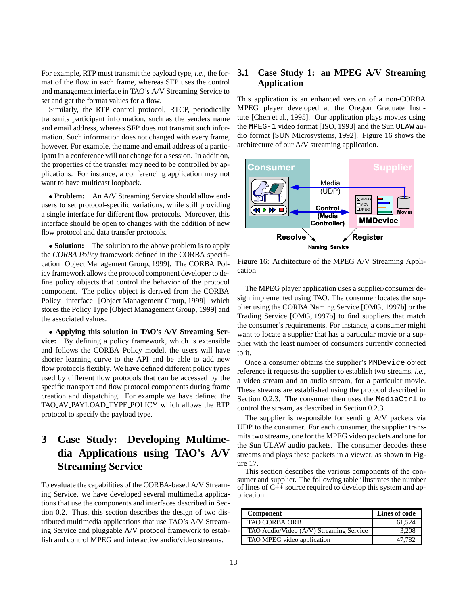For example, RTP must transmit the payload type, *i.e.*, the format of the flow in each frame, whereas SFP uses the control and management interface in TAO's A/V Streaming Service to set and get the format values for a flow.

Similarly, the RTP control protocol, RTCP, periodically transmits participant information, such as the senders name and email address, whereas SFP does not transmit such information. Such information does not changed with every frame, however. For example, the name and email address of a participant in a conference will not change for a session. In addition, the properties of the transfer may need to be controlled by applications. For instance, a conferencing application may not want to have multicast loopback.

 **Problem:** An A/V Streaming Service should allow endusers to set protocol-specific variations, while still providing a single interface for different flow protocols. Moreover, this interface should be open to changes with the addition of new flow protocol and data transfer protocols.

• **Solution:** The solution to the above problem is to apply the *CORBA Policy* framework defined in the CORBA specification [Object Management Group, 1999]. The CORBA Policy framework allows the protocol component developer to define policy objects that control the behavior of the protocol component. The policy object is derived from the CORBA Policy interface [Object Management Group, 1999] which stores the Policy Type [Object Management Group, 1999] and the associated values.

 **Applying this solution in TAO's A/V Streaming Service:** By defining a policy framework, which is extensible and follows the CORBA Policy model, the users will have shorter learning curve to the API and be able to add new flow protocols flexibly. We have defined different policy types used by different flow protocols that can be accessed by the specific transport and flow protocol components during frame creation and dispatching. For example we have defined the TAO AV PAYLOAD TYPE POLICY which allows the RTP protocol to specify the payload type.

# **3 Case Study: Developing Multimedia Applications using TAO's A/V Streaming Service**

To evaluate the capabilities of the CORBA-based A/V Streaming Service, we have developed several multimedia applications that use the components and interfaces described in Section 0.2. Thus, this section describes the design of two distributed multimedia applications that use TAO's A/V Streaming Service and pluggable A/V protocol framework to establish and control MPEG and interactive audio/video streams.

## **3.1 Case Study 1: an MPEG A/V Streaming Application**

This application is an enhanced version of a non-CORBA MPEG player developed at the Oregon Graduate Institute [Chen et al., 1995]. Our application plays movies using the MPEG-1 video format [ISO, 1993] and the Sun ULAW audio format [SUN Microsystems, 1992]. Figure 16 shows the architecture of our A/V streaming application.



Figure 16: Architecture of the MPEG A/V Streaming Application

The MPEG player application uses a supplier/consumer design implemented using TAO. The consumer locates the supplier using the CORBA Naming Service [OMG, 1997b] or the Trading Service [OMG, 1997b] to find suppliers that match the consumer's requirements. For instance, a consumer might want to locate a supplier that has a particular movie or a supplier with the least number of consumers currently connected to it.

Once a consumer obtains the supplier's MMDevice object reference it requests the supplier to establish two streams, *i.e.*, a video stream and an audio stream, for a particular movie. These streams are established using the protocol described in Section 0.2.3. The consumer then uses the MediaCtrl to control the stream, as described in Section 0.2.3.

The supplier is responsible for sending A/V packets via UDP to the consumer. For each consumer, the supplier transmits two streams, one for the MPEG video packets and one for the Sun ULAW audio packets. The consumer decodes these streams and plays these packets in a viewer, as shown in Figure 17.

This section describes the various components of the consumer and supplier. The following table illustrates the number of lines of C++ source required to develop this system and application.

| Component                               | Lines of code |
|-----------------------------------------|---------------|
| <b>TAO CORBA ORB</b>                    | 61.524        |
| TAO Audio/Video (A/V) Streaming Service | 3,208         |
| TAO MPEG video application              | 47.782        |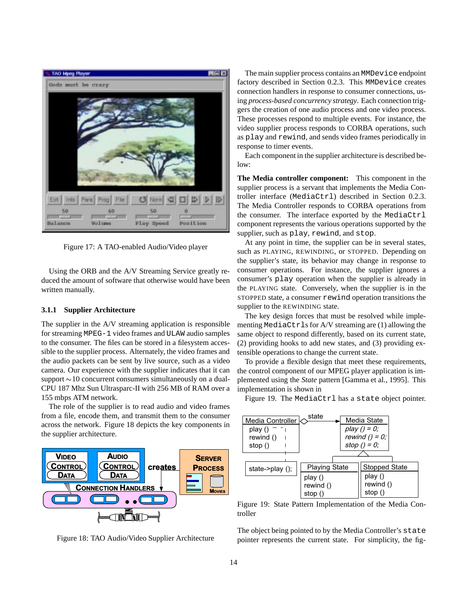

Figure 17: A TAO-enabled Audio/Video player

Using the ORB and the A/V Streaming Service greatly reduced the amount of software that otherwise would have been written manually.

### **3.1.1 Supplier Architecture**

The supplier in the A/V streaming application is responsible for streaming MPEG-1 video frames and ULAW audio samples to the consumer. The files can be stored in a filesystem accessible to the supplier process. Alternately, the video frames and the audio packets can be sent by live source, such as a video camera. Our experience with the supplier indicates that it can support  $\sim$ 10 concurrent consumers simultaneously on a dual-CPU 187 Mhz Sun Ultrasparc-II with 256 MB of RAM over a 155 mbps ATM network.

The role of the supplier is to read audio and video frames from a file, encode them, and transmit them to the consumer across the network. Figure 18 depicts the key components in the supplier architecture.



Figure 18: TAO Audio/Video Supplier Architecture

The main supplier process contains an MMDevice endpoint factory described in Section 0.2.3. This MMDevice creates connection handlers in response to consumer connections, using *process-based concurrency strategy*. Each connection triggers the creation of one audio process and one video process. These processes respond to multiple events. For instance, the video supplier process responds to CORBA operations, such as play and rewind, and sends video frames periodically in response to timer events.

Each component in the supplier architecture is described below:

**The Media controller component:** This component in the supplier process is a servant that implements the Media Controller interface (MediaCtrl) described in Section 0.2.3. The Media Controller responds to CORBA operations from the consumer. The interface exported by the MediaCtrl component represents the various operations supported by the supplier, such as play, rewind, and stop.

At any point in time, the supplier can be in several states, such as PLAYING, REWINDING, or STOPPED. Depending on the supplier's state, its behavior may change in response to consumer operations. For instance, the supplier ignores a consumer's play operation when the supplier is already in the PLAYING state. Conversely, when the supplier is in the STOPPED state, a consumer rewind operation transitions the supplier to the REWINDING state.

The key design forces that must be resolved while implementing MediaCtrls for A/V streaming are (1) allowing the same object to respond differently, based on its current state, (2) providing hooks to add new states, and (3) providing extensible operations to change the current state.

To provide a flexible design that meet these requirements, the control component of our MPEG player application is implemented using the *State* pattern [Gamma et al., 1995]. This implementation is shown in

| Media Controller <     | state                          | Media State                    |
|------------------------|--------------------------------|--------------------------------|
| play () $-$ -          |                                | play $() = 0;$                 |
| rewind ()              |                                | rewind $() = 0;$               |
| stop $()$              |                                | stop $() = 0;$                 |
|                        |                                |                                |
| state- $>$ play $()$ ; | <b>Playing State</b>           | <b>Stopped State</b>           |
|                        | play()<br>rewind ()<br>stop () | play()<br>rewind ()<br>stop () |

Figure 19. The MediaCtrl has a state object pointer.

Figure 19: State Pattern Implementation of the Media Controller

The object being pointed to by the Media Controller's state pointer represents the current state. For simplicity, the fig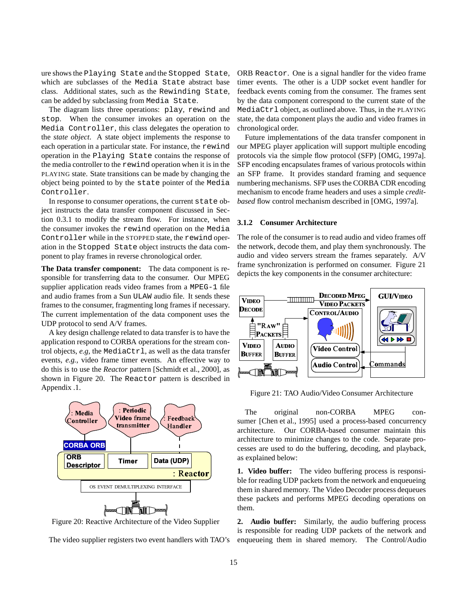ure shows the Playing State and the Stopped State, which are subclasses of the Media State abstract base class. Additional states, such as the Rewinding State, can be added by subclassing from Media State.

The diagram lists three operations: play, rewind and stop. When the consumer invokes an operation on the Media Controller, this class delegates the operation to the *state object*. A state object implements the response to each operation in a particular state. For instance, the rewind operation in the Playing State contains the response of the media controller to the rewind operation when it is in the PLAYING state. State transitions can be made by changing the object being pointed to by the state pointer of the Media Controller.

In response to consumer operations, the current state object instructs the data transfer component discussed in Section 0.3.1 to modify the stream flow. For instance, when the consumer invokes the rewind operation on the Media Controller while in the STOPPED state, the rewind operation in the Stopped State object instructs the data component to play frames in reverse chronological order.

**The Data transfer component:** The data component is responsible for transferring data to the consumer. Our MPEG supplier application reads video frames from a MPEG-1 file and audio frames from a Sun ULAW audio file. It sends these frames to the consumer, fragmenting long frames if necessary. The current implementation of the data component uses the UDP protocol to send A/V frames.

A key design challenge related to data transfer is to have the application respond to CORBA operations for the stream control objects, *e.g*, the MediaCtrl, as well as the data transfer events, *e.g.*, video frame timer events. An effective way to do this is to use the *Reactor* pattern [Schmidt et al., 2000], as shown in Figure 20. The Reactor pattern is described in Appendix .1.



Figure 20: Reactive Architecture of the Video Supplier

The video supplier registers two event handlers with TAO's

ORB Reactor. One is a signal handler for the video frame timer events. The other is a UDP socket event handler for feedback events coming from the consumer. The frames sent by the data component correspond to the current state of the MediaCtrl object, as outlined above. Thus, in the PLAYING state, the data component plays the audio and video frames in chronological order.

Future implementations of the data transfer component in our MPEG player application will support multiple encoding protocols via the simple flow protocol (SFP) [OMG, 1997a]. SFP encoding encapsulates frames of various protocols within an SFP frame. It provides standard framing and sequence numbering mechanisms. SFP uses the CORBA CDR encoding mechanism to encode frame headers and uses a simple *creditbased* flow control mechanism described in [OMG, 1997a].

## **3.1.2 Consumer Architecture**

The role of the consumer is to read audio and video frames off the network, decode them, and play them synchronously. The audio and video servers stream the frames separately. A/V frame synchronization is performed on consumer. Figure 21 depicts the key components in the consumer architecture:



Figure 21: TAO Audio/Video Consumer Architecture

The original non-CORBA MPEG consumer [Chen et al., 1995] used a process-based concurrency architecture. Our CORBA-based consumer maintain this architecture to minimize changes to the code. Separate processes are used to do the buffering, decoding, and playback, as explained below:

**1. Video buffer:** The video buffering process is responsible for reading UDP packets from the network and enqueueing them in shared memory. The Video Decoder process dequeues these packets and performs MPEG decoding operations on them.

**2. Audio buffer:** Similarly, the audio buffering process is responsible for reading UDP packets of the network and enqueueing them in shared memory. The Control/Audio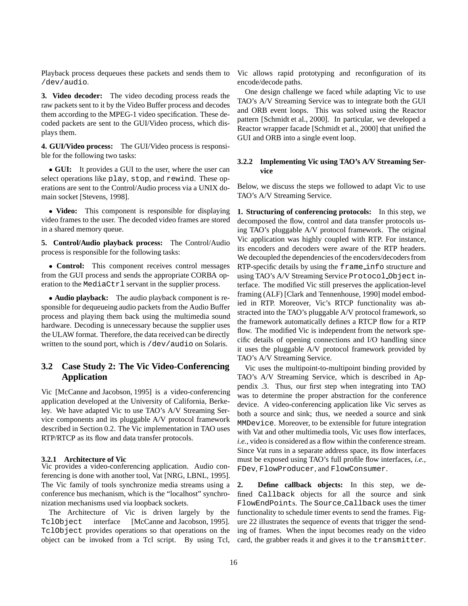Playback process dequeues these packets and sends them to /dev/audio.

**3. Video decoder:** The video decoding process reads the raw packets sent to it by the Video Buffer process and decodes them according to the MPEG-1 video specification. These decoded packets are sent to the GUI/Video process, which displays them.

**4. GUI/Video process:** The GUI/Video process is responsible for the following two tasks:

 **GUI:** It provides a GUI to the user, where the user can select operations like play, stop, and rewind. These operations are sent to the Control/Audio process via a UNIX domain socket [Stevens, 1998].

 **Video:** This component is responsible for displaying video frames to the user. The decoded video frames are stored in a shared memory queue.

**5. Control/Audio playback process:** The Control/Audio process is responsible for the following tasks:

• **Control:** This component receives control messages from the GUI process and sends the appropriate CORBA operation to the MediaCtrl servant in the supplier process.

 **Audio playback:** The audio playback component is responsible for dequeueing audio packets from the Audio Buffer process and playing them back using the multimedia sound hardware. Decoding is unnecessary because the supplier uses the ULAW format. Therefore, the data received can be directly written to the sound port, which is /dev/audio on Solaris.

## **3.2 Case Study 2: The Vic Video-Conferencing Application**

Vic [McCanne and Jacobson, 1995] is a video-conferencing application developed at the University of California, Berkeley. We have adapted Vic to use TAO's A/V Streaming Service components and its pluggable A/V protocol framework described in Section 0.2. The Vic implementation in TAO uses RTP/RTCP as its flow and data transfer protocols.

### **3.2.1 Architecture of Vic**

Vic provides a video-conferencing application. Audio conferencing is done with another tool, Vat [NRG, LBNL, 1995]. The Vic family of tools synchronize media streams using a conference bus mechanism, which is the "localhost" synchronization mechanisms used via loopback sockets.

The Architecture of Vic is driven largely by the TclObject interface [McCanne and Jacobson, 1995]. TclObject provides operations so that operations on the object can be invoked from a Tcl script. By using Tcl,

Vic allows rapid prototyping and reconfiguration of its encode/decode paths.

One design challenge we faced while adapting Vic to use TAO's A/V Streaming Service was to integrate both the GUI and ORB event loops. This was solved using the Reactor pattern [Schmidt et al., 2000]. In particular, we developed a Reactor wrapper facade [Schmidt et al., 2000] that unified the GUI and ORB into a single event loop.

## **3.2.2 Implementing Vic using TAO's A/V Streaming Service**

Below, we discuss the steps we followed to adapt Vic to use TAO's A/V Streaming Service.

**1. Structuring of conferencing protocols:** In this step, we decomposed the flow, control and data transfer protocols using TAO's pluggable A/V protocol framework. The original Vic application was highly coupled with RTP. For instance, its encoders and decoders were aware of the RTP headers. We decoupled the dependencies of the encoders/decoders from RTP-specific details by using the frame info structure and using TAO's A/V Streaming Service Protocol Object interface. The modified Vic still preserves the application-level framing (ALF) [Clark and Tennenhouse, 1990] model embodied in RTP. Moreover, Vic's RTCP functionality was abstracted into the TAO's pluggable A/V protocol framework, so the framework automatically defines a RTCP flow for a RTP flow. The modified Vic is independent from the network specific details of opening connections and I/O handling since it uses the pluggable A/V protocol framework provided by TAO's A/V Streaming Service.

Vic uses the multipoint-to-multipoint binding provided by TAO's A/V Streaming Service, which is described in Appendix .3. Thus, our first step when integrating into TAO was to determine the proper abstraction for the conference device. A video-conferencing application like Vic serves as both a source and sink; thus, we needed a source and sink MMDevice. Moreover, to be extensible for future integration with Vat and other multimedia tools, Vic uses flow interfaces, *i.e.*, video is considered as a flow within the conference stream. Since Vat runs in a separate address space, its flow interfaces must be exposed using TAO's full profile flow interfaces, *i.e.*, FDev, FlowProducer, and FlowConsumer.

**2. Define callback objects:** In this step, we defined Callback objects for all the source and sink FlowEndPoints. The Source Callback uses the timer functionality to schedule timer events to send the frames. Figure 22 illustrates the sequence of events that trigger the sending of frames. When the input becomes ready on the video card, the grabber reads it and gives it to the transmitter.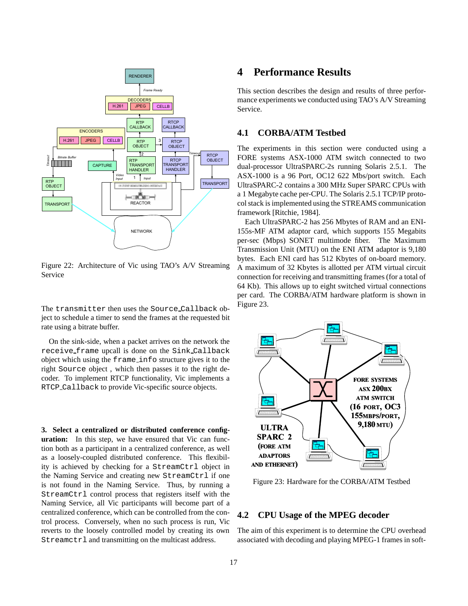

Figure 22: Architecture of Vic using TAO's A/V Streaming Service

The transmitter then uses the Source Callback object to schedule a timer to send the frames at the requested bit rate using a bitrate buffer.

On the sink-side, when a packet arrives on the network the receive frame upcall is done on the Sink Callback object which using the frame info structure gives it to the right Source object , which then passes it to the right decoder. To implement RTCP functionality, Vic implements a RTCP Callback to provide Vic-specific source objects.

**3. Select a centralized or distributed conference configuration:** In this step, we have ensured that Vic can function both as a participant in a centralized conference, as well as a loosely-coupled distributed conference. This flexibility is achieved by checking for a StreamCtrl object in the Naming Service and creating new StreamCtrl if one is not found in the Naming Service. Thus, by running a StreamCtrl control process that registers itself with the Naming Service, all Vic participants will become part of a centralized conference, which can be controlled from the control process. Conversely, when no such process is run, Vic reverts to the loosely controlled model by creating its own Streamctrl and transmitting on the multicast address.

## **4 Performance Results**

This section describes the design and results of three performance experiments we conducted using TAO's A/V Streaming Service.

## **4.1 CORBA/ATM Testbed**

The experiments in this section were conducted using a FORE systems ASX-1000 ATM switch connected to two dual-processor UltraSPARC-2s running Solaris 2.5.1. The ASX-1000 is a 96 Port, OC12 622 Mbs/port switch. Each UltraSPARC-2 contains a 300 MHz Super SPARC CPUs with a 1 Megabyte cache per-CPU. The Solaris 2.5.1 TCP/IP protocol stack is implemented using the STREAMS communication framework [Ritchie, 1984].

Each UltraSPARC-2 has 256 Mbytes of RAM and an ENI-155s-MF ATM adaptor card, which supports 155 Megabits per-sec (Mbps) SONET multimode fiber. The Maximum Transmission Unit (MTU) on the ENI ATM adaptor is 9,180 bytes. Each ENI card has 512 Kbytes of on-board memory. A maximum of 32 Kbytes is allotted per ATM virtual circuit connection for receiving and transmitting frames (for a total of 64 Kb). This allows up to eight switched virtual connections per card. The CORBA/ATM hardware platform is shown in Figure 23.



Figure 23: Hardware for the CORBA/ATM Testbed

## **4.2 CPU Usage of the MPEG decoder**

The aim of this experiment is to determine the CPU overhead associated with decoding and playing MPEG-1 frames in soft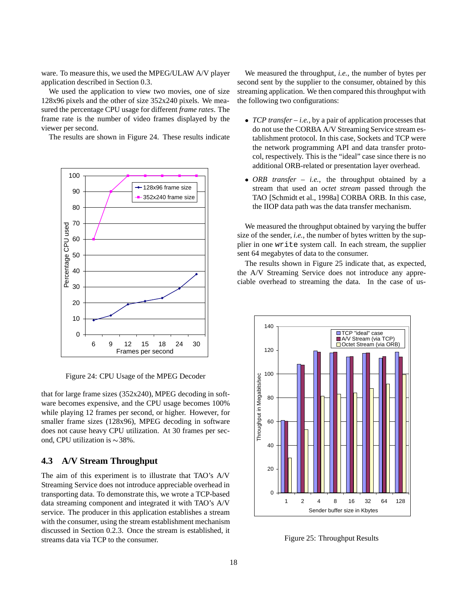ware. To measure this, we used the MPEG/ULAW A/V player application described in Section 0.3.

We used the application to view two movies, one of size 128x96 pixels and the other of size 352x240 pixels. We measured the percentage CPU usage for different *frame rates*. The frame rate is the number of video frames displayed by the viewer per second.

The results are shown in Figure 24. These results indicate



Figure 24: CPU Usage of the MPEG Decoder

that for large frame sizes  $(352x240)$ , MPEG decoding in software becomes expensive, and the CPU usage becomes 100% while playing 12 frames per second, or higher. However, for smaller frame sizes (128x96), MPEG decoding in software does not cause heavy CPU utilization. At 30 frames per second, CPU utilization is  $\sim$ 38%.

## **4.3 A/V Stream Throughput**

The aim of this experiment is to illustrate that TAO's A/V Streaming Service does not introduce appreciable overhead in transporting data. To demonstrate this, we wrote a TCP-based data streaming component and integrated it with TAO's A/V service. The producer in this application establishes a stream with the consumer, using the stream establishment mechanism discussed in Section 0.2.3. Once the stream is established, it streams data via TCP to the consumer.

We measured the throughput, *i.e.*, the number of bytes per second sent by the supplier to the consumer, obtained by this streaming application. We then compared this throughput with the following two configurations:

- *TCP transfer i.e.*, by a pair of application processes that do not use the CORBA A/V Streaming Service stream establishment protocol. In this case, Sockets and TCP were the network programming API and data transfer protocol, respectively. This is the "ideal" case since there is no additional ORB-related or presentation layer overhead.
- *ORB transfer i.e.*, the throughput obtained by a stream that used an *octet stream* passed through the TAO [Schmidt et al., 1998a] CORBA ORB. In this case, the IIOP data path was the data transfer mechanism.

We measured the throughput obtained by varying the buffer size of the sender, *i.e.*, the number of bytes written by the supplier in one write system call. In each stream, the supplier sent 64 megabytes of data to the consumer.

The results shown in Figure 25 indicate that, as expected, the A/V Streaming Service does not introduce any appreciable overhead to streaming the data. In the case of us-



Figure 25: Throughput Results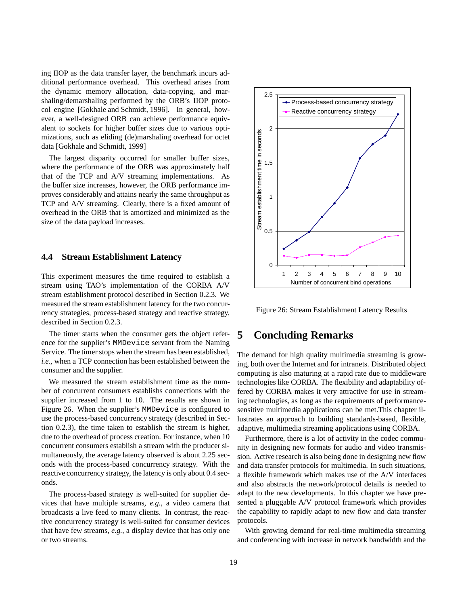ing IIOP as the data transfer layer, the benchmark incurs additional performance overhead. This overhead arises from the dynamic memory allocation, data-copying, and marshaling/demarshaling performed by the ORB's IIOP protocol engine [Gokhale and Schmidt, 1996]. In general, however, a well-designed ORB can achieve performance equivalent to sockets for higher buffer sizes due to various optimizations, such as eliding (de)marshaling overhead for octet data [Gokhale and Schmidt, 1999]

The largest disparity occurred for smaller buffer sizes, where the performance of the ORB was approximately half that of the TCP and A/V streaming implementations. As the buffer size increases, however, the ORB performance improves considerably and attains nearly the same throughput as TCP and A/V streaming. Clearly, there is a fixed amount of overhead in the ORB that is amortized and minimized as the size of the data payload increases.

## **4.4 Stream Establishment Latency**

This experiment measures the time required to establish a stream using TAO's implementation of the CORBA A/V stream establishment protocol described in Section 0.2.3. We measured the stream establishment latency for the two concurrency strategies, process-based strategy and reactive strategy, described in Section 0.2.3.

The timer starts when the consumer gets the object reference for the supplier's MMDevice servant from the Naming Service. The timer stops when the stream has been established, *i.e.*, when a TCP connection has been established between the consumer and the supplier.

We measured the stream establishment time as the number of concurrent consumers establishs connections with the supplier increased from 1 to 10. The results are shown in Figure 26. When the supplier's MMDevice is configured to use the process-based concurrency strategy (described in Section 0.2.3), the time taken to establish the stream is higher, due to the overhead of process creation. For instance, when 10 concurrent consumers establish a stream with the producer simultaneously, the average latency observed is about 2.25 seconds with the process-based concurrency strategy. With the reactive concurrency strategy, the latency is only about 0.4 seconds.

The process-based strategy is well-suited for supplier devices that have multiple streams, *e.g.*, a video camera that broadcasts a live feed to many clients. In contrast, the reactive concurrency strategy is well-suited for consumer devices that have few streams, *e.g.*, a display device that has only one or two streams.



Figure 26: Stream Establishment Latency Results

## **5 Concluding Remarks**

The demand for high quality multimedia streaming is growing, both over the Internet and for intranets. Distributed object computing is also maturing at a rapid rate due to middleware technologies like CORBA. The flexibility and adaptability offered by CORBA makes it very attractive for use in streaming technologies, as long as the requirements of performancesensitive multimedia applications can be met.This chapter illustrates an approach to building standards-based, flexible, adaptive, multimedia streaming applications using CORBA.

Furthermore, there is a lot of activity in the codec community in designing new formats for audio and video transmission. Active research is also being done in designing new flow and data transfer protocols for multimedia. In such situations, a flexible framework which makes use of the A/V interfaces and also abstracts the network/protocol details is needed to adapt to the new developments. In this chapter we have presented a pluggable A/V protocol framework which provides the capability to rapidly adapt to new flow and data transfer protocols.

With growing demand for real-time multimedia streaming and conferencing with increase in network bandwidth and the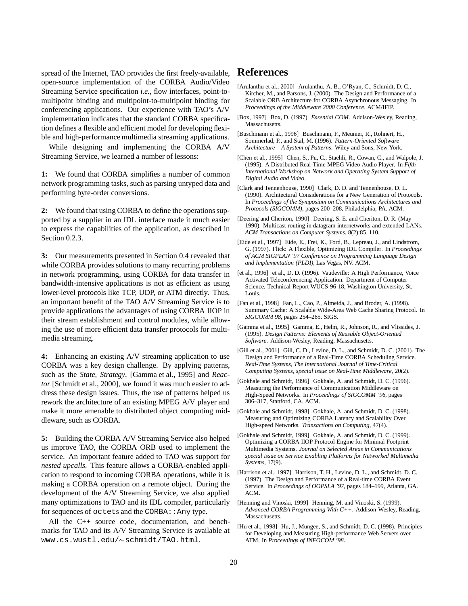spread of the Internet, TAO provides the first freely-available, open-source implementation of the CORBA Audio/Video Streaming Service specification *i.e.*, flow interfaces, point-tomultipoint binding and multipoint-to-multipoint binding for conferencing applications. Our experience with TAO's A/V implementation indicates that the standard CORBA specification defines a flexible and efficient model for developing flexible and high-performance multimedia streaming applications.

While designing and implementing the CORBA A/V Streaming Service, we learned a number of lessons:

**1:** We found that CORBA simplifies a number of common network programming tasks, such as parsing untyped data and performing byte-order conversions.

**2:** We found that using CORBA to define the operations supported by a supplier in an IDL interface made it much easier to express the capabilities of the application, as described in Section 0.2.3.

**3:** Our measurements presented in Section 0.4 revealed that while CORBA provides solutions to many recurring problems in network programming, using CORBA for data transfer in bandwidth-intensive applications is not as efficient as using lower-level protocols like TCP, UDP, or ATM directly. Thus, an important benefit of the TAO A/V Streaming Service is to provide applications the advantages of using CORBA IIOP in their stream establishment and control modules, while allowing the use of more efficient data transfer protocols for multimedia streaming.

**4:** Enhancing an existing A/V streaming application to use CORBA was a key design challenge. By applying patterns, such as the *State*, *Strategy*, [Gamma et al., 1995] and *Reactor* [Schmidt et al., 2000], we found it was much easier to address these design issues. Thus, the use of patterns helped us rework the architecture of an existing MPEG A/V player and make it more amenable to distributed object computing middleware, such as CORBA.

**5:** Building the CORBA A/V Streaming Service also helped us improve TAO, the CORBA ORB used to implement the service. An important feature added to TAO was support for *nested upcalls*. This feature allows a CORBA-enabled application to respond to incoming CORBA operations, while it is making a CORBA operation on a remote object. During the development of the A/V Streaming Service, we also applied many optimizations to TAO and its IDL compiler, particularly for sequences of octets and the CORBA: : Any type.

All the C++ source code, documentation, and benchmarks for TAO and its A/V Streaming Service is available at www.cs.wustl.edu/~schmidt/TAO.html.

## **References**

- [Arulanthu et al., 2000] Arulanthu, A. B., O'Ryan, C., Schmidt, D. C., Kircher, M., and Parsons, J. (2000). The Design and Performance of a Scalable ORB Architecture for CORBA Asynchronous Messaging. In *Proceedings of the Middleware 2000 Conference*. ACM/IFIP.
- [Box, 1997] Box, D. (1997). *Essential COM*. Addison-Wesley, Reading, Massachusetts.
- [Buschmann et al., 1996] Buschmann, F., Meunier, R., Rohnert, H., Sommerlad, P., and Stal, M. (1996). *Pattern-Oriented Software Architecture – A System of Patterns*. Wiley and Sons, New York.
- [Chen et al., 1995] Chen, S., Pu, C., Staehli, R., Cowan, C., and Walpole, J. (1995). A Distributed Real-Time MPEG Video Audio Player. In *Fifth International Workshop on Network and Operating System Support of Digital Audio and Video*.
- [Clark and Tennenhouse, 1990] Clark, D. D. and Tennenhouse, D. L. (1990). Architectural Considerations for a New Generation of Protocols. In *Proceedings of the Symposium on Communications Architectures and Protocols (SIGCOMM)*, pages 200–208, Philadelphia, PA. ACM.
- [Deering and Cheriton, 1990] Deering, S. E. and Cheriton, D. R. (May 1990). Multicast routing in datagram internetworks and extended LANs. *ACM Transactions on Computer Systems*, 8(2):85–110.
- [Eide et al., 1997] Eide, E., Frei, K., Ford, B., Lepreau, J., and Lindstrom, G. (1997). Flick: A Flexible, Optimizing IDL Compiler. In *Proceedings of ACM SIGPLAN '97 Conference on Programming Language Design and Implementation (PLDI)*, Las Vegas, NV. ACM.
- [et al., 1996] et al., D. D. (1996). Vaudeville: A High Performance, Voice Activated Teleconferencing Application. Department of Computer Science, Technical Report WUCS-96-18, Washington University, St. Louis.
- [Fan et al., 1998] Fan, L., Cao, P., Almeida, J., and Broder, A. (1998). Summary Cache: A Scalable Wide-Area Web Cache Sharing Protocol. In *SIGCOMM 98*, pages 254–265. SIGS.
- [Gamma et al., 1995] Gamma, E., Helm, R., Johnson, R., and Vlissides, J. (1995). *Design Patterns: Elements of Reusable Object-Oriented Software*. Addison-Wesley, Reading, Massachusetts.
- [Gill et al., 2001] Gill, C. D., Levine, D. L., and Schmidt, D. C. (2001). The Design and Performance of a Real-Time CORBA Scheduling Service. *Real-Time Systems, The International Journal of Time-Critical Computing Systems, special issue on Real-Time Middleware*, 20(2).
- [Gokhale and Schmidt, 1996] Gokhale, A. and Schmidt, D. C. (1996). Measuring the Performance of Communication Middleware on High-Speed Networks. In *Proceedings of SIGCOMM '96*, pages 306–317, Stanford, CA. ACM.
- [Gokhale and Schmidt, 1998] Gokhale, A. and Schmidt, D. C. (1998). Measuring and Optimizing CORBA Latency and Scalability Over High-speed Networks. *Transactions on Computing*, 47(4).
- [Gokhale and Schmidt, 1999] Gokhale, A. and Schmidt, D. C. (1999). Optimizing a CORBA IIOP Protocol Engine for Minimal Footprint Multimedia Systems. *Journal on Selected Areas in Communications special issue on Service Enabling Platforms for Networked Multimedia Systems*, 17(9).
- [Harrison et al., 1997] Harrison, T. H., Levine, D. L., and Schmidt, D. C. (1997). The Design and Performance of a Real-time CORBA Event Service. In *Proceedings of OOPSLA '97*, pages 184–199, Atlanta, GA. ACM.
- [Henning and Vinoski, 1999] Henning, M. and Vinoski, S. (1999). *Advanced CORBA Programming With C++*. Addison-Wesley, Reading, Massachusetts.
- [Hu et al., 1998] Hu, J., Mungee, S., and Schmidt, D. C. (1998). Principles for Developing and Measuring High-performance Web Servers over ATM. In *Proceedings of INFOCOM '98*.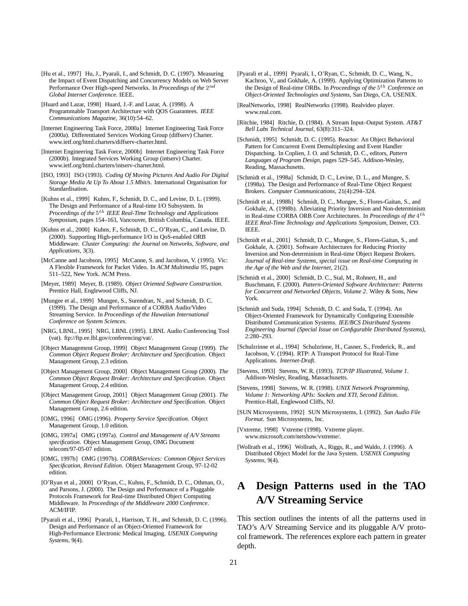- [Hu et al., 1997] Hu, J., Pyarali, I., and Schmidt, D. C. (1997). Measuring the Impact of Event Dispatching and Concurrency Models on Web Server Performance Over High-speed Networks. In *Proceedings of the*  $2^{nd}$ *Global Internet Conference*. IEEE.
- [Huard and Lazar, 1998] Huard, J.-F. and Lazar, A. (1998). A Programmable Transport Architecture with QOS Guarantees. *IEEE Communications Magazine*, 36(10):54–62.
- [Internet Engineering Task Force, 2000a] Internet Engineering Task Force (2000a). Differentiated Services Working Group (diffserv) Charter. www.ietf.org/html.charters/diffserv-charter.html.
- [Internet Engineering Task Force, 2000b] Internet Engineering Task Force (2000b). Integrated Services Working Group (intserv) Charter. www.ietf.org/html.charters/intserv-charter.html.
- [ISO, 1993] ISO (1993). *Coding Of Moving Pictures And Audio For Digital Storage Media At Up To About 1.5 Mbit/s*. International Organisation for Standardisation.
- [Kuhns et al., 1999] Kuhns, F., Schmidt, D. C., and Levine, D. L. (1999). The Design and Performance of a Real-time I/O Subsystem. In *Proceedings of the* <sup>5</sup>th *IEEE Real-Time Technology and Applications Symposium*, pages 154–163, Vancouver, British Columbia, Canada. IEEE.
- [Kuhns et al., 2000] Kuhns, F., Schmidt, D. C., O'Ryan, C., and Levine, D. (2000). Supporting High-performance I/O in QoS-enabled ORB Middleware. *Cluster Computing: the Journal on Networks, Software, and Applications*, 3(3).
- [McCanne and Jacobson, 1995] McCanne, S. and Jacobson, V. (1995). Vic: A Flexible Framework for Packet Video. In *ACM Multimedia 95*, pages 511–522, New York. ACM Press.
- [Meyer, 1989] Meyer, B. (1989). *Object Oriented Software Construction*. Prentice Hall, Englewood Cliffs, NJ.
- [Mungee et al., 1999] Mungee, S., Surendran, N., and Schmidt, D. C. (1999). The Design and Performance of a CORBA Audio/Video Streaming Service. In *Proceedings of the Hawaiian International Conference on System Sciences*.
- [NRG, LBNL, 1995] NRG, LBNL (1995). LBNL Audio Conferencing Tool (vat). ftp://ftp.ee.lbl.gov/conferencing/vat/.
- [Object Management Group, 1999] Object Management Group (1999). *The Common Object Request Broker: Architecture and Specification*. Object Management Group, 2.3 edition.
- [Object Management Group, 2000] Object Management Group (2000). *The Common Object Request Broker: Architecture and Specification*. Object Management Group, 2.4 edition.
- [Object Management Group, 2001] Object Management Group (2001). *The Common Object Request Broker: Architecture and Specification*. Object Management Group, 2.6 edition.
- [OMG, 1996] OMG (1996). *Property Service Specification*. Object Management Group, 1.0 edition.
- [OMG, 1997a] OMG (1997a). *Control and Management of A/V Streams specification*. Object Management Group, OMG Document telecom/97-05-07 edition.
- [OMG, 1997b] OMG (1997b). *CORBAServices: Common Object Services Specification, Revised Edition*. Object Management Group, 97-12-02 edition.
- [O'Ryan et al., 2000] O'Ryan, C., Kuhns, F., Schmidt, D. C., Othman, O., and Parsons, J. (2000). The Design and Performance of a Pluggable Protocols Framework for Real-time Distributed Object Computing Middleware. In *Proceedings of the Middleware 2000 Conference*. ACM/IFIP.
- [Pyarali et al., 1996] Pyarali, I., Harrison, T. H., and Schmidt, D. C. (1996). Design and Performance of an Object-Oriented Framework for High-Performance Electronic Medical Imaging. *USENIX Computing Systems*, 9(4).
- [Pyarali et al., 1999] Pyarali, I., O'Ryan, C., Schmidt, D. C., Wang, N., Kachroo, V., and Gokhale, A. (1999). Applying Optimization Patterns to the Design of Real-time ORBs. In *Proceedings of the* <sup>5</sup>th *Conference on Object-Oriented Technologies and Systems*, San Diego, CA. USENIX.
- [RealNetworks, 1998] RealNetworks (1998). Realvideo player. www.real.com.
- [Ritchie, 1984] Ritchie, D. (1984). A Stream Input–Output System. *AT&T Bell Labs Technical Journal*, 63(8):311–324.
- [Schmidt, 1995] Schmidt, D. C. (1995). Reactor: An Object Behavioral Pattern for Concurrent Event Demultiplexing and Event Handler Dispatching. In Coplien, J. O. and Schmidt, D. C., editors, *Pattern Languages of Program Design*, pages 529–545. Addison-Wesley, Reading, Massachusetts.
- [Schmidt et al., 1998a] Schmidt, D. C., Levine, D. L., and Mungee, S. (1998a). The Design and Performance of Real-Time Object Request Brokers. *Computer Communications*, 21(4):294–324.
- [Schmidt et al., 1998b] Schmidt, D. C., Mungee, S., Flores-Gaitan, S., and Gokhale, A. (1998b). Alleviating Priority Inversion and Non-determinism in Real-time CORBA ORB Core Architectures. In *Proceedings of the* <sup>4</sup>th *IEEE Real-Time Technology and Applications Symposium*, Denver, CO. IEEE.
- [Schmidt et al., 2001] Schmidt, D. C., Mungee, S., Flores-Gaitan, S., and Gokhale, A. (2001). Software Architectures for Reducing Priority Inversion and Non-determinism in Real-time Object Request Brokers. *Journal of Real-time Systems, special issue on Real-time Computing in the Age of the Web and the Internet*, 21(2).
- [Schmidt et al., 2000] Schmidt, D. C., Stal, M., Rohnert, H., and Buschmann, F. (2000). *Pattern-Oriented Software Architecture: Patterns for Concurrent and Networked Objects, Volume 2*. Wiley & Sons, New York.
- [Schmidt and Suda, 1994] Schmidt, D. C. and Suda, T. (1994). An Object-Oriented Framework for Dynamically Configuring Extensible Distributed Communication Systems. *IEE/BCS Distributed Systems Engineering Journal (Special Issue on Configurable Distributed Systems)*, 2:280–293.
- [Schulzrinne et al., 1994] Schulzrinne, H., Casner, S., Frederick, R., and Jacobson, V. (1994). RTP: A Transport Protocol for Real-Time Applications. *Internet-Draft*.
- [Stevens, 1993] Stevens, W. R. (1993). *TCP/IP Illustrated, Volume 1*. Addison-Wesley, Reading, Massachusetts.
- [Stevens, 1998] Stevens, W. R. (1998). *UNIX Network Programming, Volume 1: Networking APIs: Sockets and XTI, Second Edition*. Prentice-Hall, Englewood Cliffs, NJ.
- [SUN Microsystems, 1992] SUN Microsystems, I. (1992). *Sun Audio File Format*. Sun Microsystems, Inc.
- [Vxtreme, 1998] Vxtreme (1998). Vxtreme player. www.microsoft.com/netshow/vxtreme/.
- [Wollrath et al., 1996] Wollrath, A., Riggs, R., and Waldo, J. (1996). A Distributed Object Model for the Java System. *USENIX Computing Systems*, 9(4).

# **A Design Patterns used in the TAO A/V Streaming Service**

This section outlines the intents of all the patterns used in TAO's A/V Streaming Service and its pluggable A/V protocol framework. The references explore each pattern in greater depth.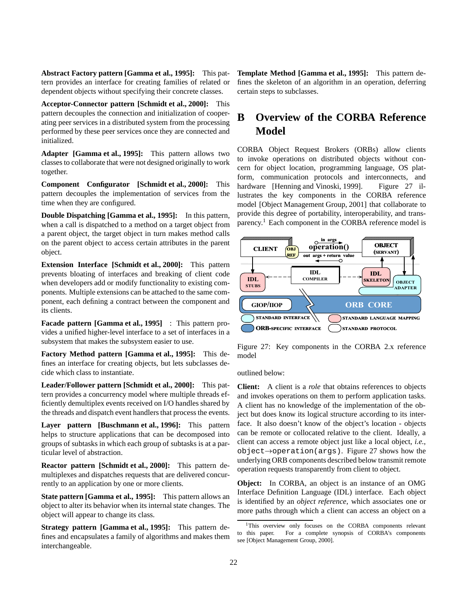**Abstract Factory pattern [Gamma et al., 1995]:** This pattern provides an interface for creating families of related or dependent objects without specifying their concrete classes.

**Acceptor-Connector pattern [Schmidt et al., 2000]:** This pattern decouples the connection and initialization of cooperating peer services in a distributed system from the processing performed by these peer services once they are connected and initialized.

**Adapter [Gamma et al., 1995]:** This pattern allows two classes to collaborate that were not designed originally to work together.

**Component Configurator [Schmidt et al., 2000]:** This pattern decouples the implementation of services from the time when they are configured.

**Double Dispatching [Gamma et al., 1995]:** In this pattern, when a call is dispatched to a method on a target object from a parent object, the target object in turn makes method calls on the parent object to access certain attributes in the parent object.

**Extension Interface [Schmidt et al., 2000]:** This pattern prevents bloating of interfaces and breaking of client code when developers add or modify functionality to existing components. Multiple extensions can be attached to the same component, each defining a contract between the component and its clients.

**Facade pattern [Gamma et al., 1995]** : This pattern provides a unified higher-level interface to a set of interfaces in a subsystem that makes the subsystem easier to use.

**Factory Method pattern [Gamma et al., 1995]:** This defines an interface for creating objects, but lets subclasses decide which class to instantiate.

**Leader/Follower pattern [Schmidt et al., 2000]:** This pattern provides a concurrency model where multiple threads efficiently demultiplex events received on I/O handles shared by the threads and dispatch event handlers that process the events.

**Layer pattern [Buschmann et al., 1996]:** This pattern helps to structure applications that can be decomposed into groups of subtasks in which each group of subtasks is at a particular level of abstraction.

**Reactor pattern [Schmidt et al., 2000]:** This pattern demultiplexes and dispatches requests that are delivered concurrently to an application by one or more clients.

**State pattern [Gamma et al., 1995]:** This pattern allows an object to alter its behavior when its internal state changes. The object will appear to change its class.

**Strategy pattern [Gamma et al., 1995]:** This pattern defines and encapsulates a family of algorithms and makes them interchangeable.

**Template Method [Gamma et al., 1995]:** This pattern defines the skeleton of an algorithm in an operation, deferring certain steps to subclasses.

# **B Overview of the CORBA Reference Model**

CORBA Object Request Brokers (ORBs) allow clients to invoke operations on distributed objects without concern for object location, programming language, OS platform, communication protocols and interconnects, and hardware [Henning and Vinoski, 1999]. Figure 27 illustrates the key components in the CORBA reference model [Object Management Group, 2001] that collaborate to provide this degree of portability, interoperability, and transparency.<sup>1</sup> Each component in the CORBA reference model is



Figure 27: Key components in the CORBA 2.x reference model

outlined below:

**Client:** A client is a *role* that obtains references to objects and invokes operations on them to perform application tasks. A client has no knowledge of the implementation of the object but does know its logical structure according to its interface. It also doesn't know of the object's location - objects can be remote or collocated relative to the client. Ideally, a client can access a remote object just like a local object, *i.e.*,  $object \rightarrow operation(\text{args})$ . Figure 27 shows how the underlying ORB components described below transmit remote operation requests transparently from client to object.

**Object:** In CORBA, an object is an instance of an OMG Interface Definition Language (IDL) interface. Each object is identified by an *object reference*, which associates one or more paths through which a client can access an object on a

<sup>&</sup>lt;sup>1</sup>This overview only focuses on the CORBA components relevant to this paper. For a complete synopsis of CORBA's components see [Object Management Group, 2000].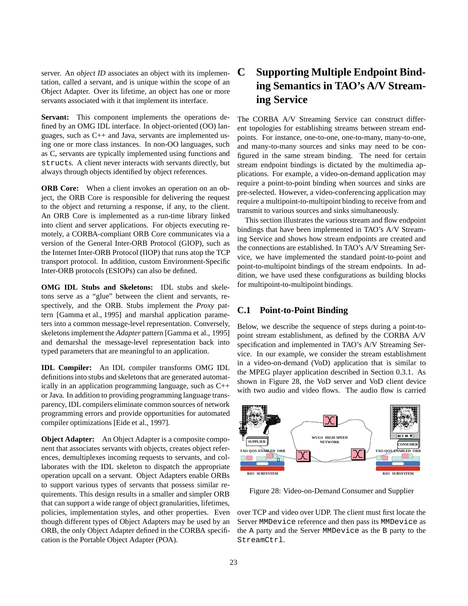server. An *object ID* associates an object with its implementation, called a servant, and is unique within the scope of an Object Adapter. Over its lifetime, an object has one or more servants associated with it that implement its interface.

**Servant:** This component implements the operations defined by an OMG IDL interface. In object-oriented (OO) languages, such as C++ and Java, servants are implemented using one or more class instances. In non-OO languages, such as C, servants are typically implemented using functions and structs. A client never interacts with servants directly, but always through objects identified by object references.

**ORB Core:** When a client invokes an operation on an object, the ORB Core is responsible for delivering the request to the object and returning a response, if any, to the client. An ORB Core is implemented as a run-time library linked into client and server applications. For objects executing remotely, a CORBA-compliant ORB Core communicates via a version of the General Inter-ORB Protocol (GIOP), such as the Internet Inter-ORB Protocol (IIOP) that runs atop the TCP transport protocol. In addition, custom Environment-Specific Inter-ORB protocols (ESIOPs) can also be defined.

**OMG IDL Stubs and Skeletons:** IDL stubs and skeletons serve as a "glue" between the client and servants, respectively, and the ORB. Stubs implement the *Proxy* pattern [Gamma et al., 1995] and marshal application parameters into a common message-level representation. Conversely, skeletons implement the *Adapter* pattern [Gamma et al., 1995] and demarshal the message-level representation back into typed parameters that are meaningful to an application.

**IDL Compiler:** An IDL compiler transforms OMG IDL definitions into stubs and skeletons that are generated automatically in an application programming language, such as C++ or Java. In addition to providing programming language transparency, IDL compilers eliminate common sources of network programming errors and provide opportunities for automated compiler optimizations [Eide et al., 1997].

**Object Adapter:** An Object Adapter is a composite component that associates servants with objects, creates object references, demultiplexes incoming requests to servants, and collaborates with the IDL skeleton to dispatch the appropriate operation upcall on a servant. Object Adapters enable ORBs to support various types of servants that possess similar requirements. This design results in a smaller and simpler ORB that can support a wide range of object granularities, lifetimes, policies, implementation styles, and other properties. Even though different types of Object Adapters may be used by an ORB, the only Object Adapter defined in the CORBA specification is the Portable Object Adapter (POA).

# **C Supporting Multiple Endpoint Binding Semantics in TAO's A/V Streaming Service**

The CORBA A/V Streaming Service can construct different topologies for establishing streams between stream endpoints. For instance, one-to-one, one-to-many, many-to-one, and many-to-many sources and sinks may need to be configured in the same stream binding. The need for certain stream endpoint bindings is dictated by the multimedia applications. For example, a video-on-demand application may require a point-to-point binding when sources and sinks are pre-selected. However, a video-conferencing application may require a multipoint-to-multipoint binding to receive from and transmit to various sources and sinks simultaneously.

This section illustrates the various stream and flow endpoint bindings that have been implemented in TAO's A/V Streaming Service and shows how stream endpoints are created and the connections are established. In TAO's A/V Streaming Service, we have implemented the standard point-to-point and point-to-multipoint bindings of the stream endpoints. In addition, we have used these configurations as building blocks for multipoint-to-multipoint bindings.

## **C.1 Point-to-Point Binding**

Below, we describe the sequence of steps during a point-topoint stream establishment, as defined by the CORBA A/V specification and implemented in TAO's A/V Streaming Service. In our example, we consider the stream establishment in a video-on-demand (VoD) application that is similar to the MPEG player application described in Section 0.3.1. As shown in Figure 28, the VoD server and VoD client device with two audio and video flows. The audio flow is carried



Figure 28: Video-on-Demand Consumer and Supplier

over TCP and video over UDP. The client must first locate the Server MMDevice reference and then pass its MMDevice as the A party and the Server MMDevice as the B party to the StreamCtrl.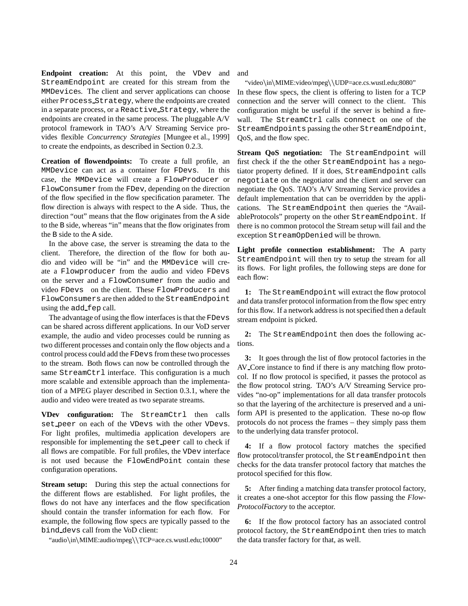**Endpoint creation:** At this point, the VDev and StreamEndpoint are created for this stream from the MMDevices. The client and server applications can choose either Process Strategy, where the endpoints are created in a separate process, or a Reactive Strategy, where the endpoints are created in the same process. The pluggable A/V protocol framework in TAO's A/V Streaming Service provides flexible *Concurrency Strategies* [Mungee et al., 1999] to create the endpoints, as described in Section 0.2.3.

**Creation of flowendpoints:** To create a full profile, an MMDevice can act as a container for FDevs. In this case, the MMDevice will create a FlowProducer or FlowConsumer from the FDev, depending on the direction of the flow specified in the flow specification parameter. The flow direction is always with respect to the A side. Thus, the direction "out" means that the flow originates from the A side to the B side, whereas "in" means that the flow originates from the B side to the A side.

In the above case, the server is streaming the data to the client. Therefore, the direction of the flow for both audio and video will be "in" and the MMDevice will create a Flowproducer from the audio and video FDevs on the server and a FlowConsumer from the audio and video FDevs on the client. These FlowProducers and FlowConsumers are then added to the StreamEndpoint using the add fep call.

The advantage of using the flow interfaces is that the FDevs can be shared across different applications. In our VoD server example, the audio and video processes could be running as two different processes and contain only the flow objects and a control process could add the FDevs from these two processes to the stream. Both flows can now be controlled through the same StreamCtrl interface. This configuration is a much more scalable and extensible approach than the implementation of a MPEG player described in Section 0.3.1, where the audio and video were treated as two separate streams.

**VDev configuration:** The StreamCtrl then calls set peer on each of the VDevs with the other VDevs. For light profiles, multimedia application developers are responsible for implementing the set peer call to check if all flows are compatible. For full profiles, the VDev interface is not used because the FlowEndPoint contain these configuration operations.

**Stream setup:** During this step the actual connections for the different flows are established. For light profiles, the flows do not have any interfaces and the flow specification should contain the transfer information for each flow. For example, the following flow specs are typically passed to the bind devs call from the VoD client:

"audio\in\MIME:audio/mpeg\\TCP=ace.cs.wustl.edu;10000"

and

"video\in\MIME:video/mpeg\\UDP=ace.cs.wustl.edu;8080" In these flow specs, the client is offering to listen for a TCP connection and the server will connect to the client. This configuration might be useful if the server is behind a firewall. The StreamCtrl calls connect on one of the StreamEndpoints passing the other StreamEndpoint, QoS, and the flow spec.

**Stream QoS negotiation:** The StreamEndpoint will first check if the the other StreamEndpoint has a negotiator property defined. If it does, StreamEndpoint calls negotiate on the negotiator and the client and server can negotiate the QoS. TAO's A/V Streaming Service provides a default implementation that can be overridden by the applications. The StreamEndpoint then queries the "AvailableProtocols" property on the other StreamEndpoint. If there is no common protocol the Stream setup will fail and the exception StreamOpDenied will be thrown.

**Light profile connection establishment:** The A party StreamEndpoint will then try to setup the stream for all its flows. For light profiles, the following steps are done for each flow:

**1:** The StreamEndpoint will extract the flow protocol and data transfer protocol information from the flow spec entry for this flow. If a network address is not specified then a default stream endpoint is picked.

**2:** The StreamEndpoint then does the following actions.

**3:** It goes through the list of flow protocol factories in the AV Core instance to find if there is any matching flow protocol. If no flow protocol is specified, it passes the protocol as the flow protocol string. TAO's A/V Streaming Service provides "no-op" implementations for all data transfer protocols so that the layering of the architecture is preserved and a uniform API is presented to the application. These no-op flow protocols do not process the frames – they simply pass them to the underlying data transfer protocol.

**4:** If a flow protocol factory matches the specified flow protocol/transfer protocol, the StreamEndpoint then checks for the data transfer protocol factory that matches the protocol specified for this flow.

**5:** After finding a matching data transfer protocol factory, it creates a one-shot acceptor for this flow passing the *Flow-ProtocolFactory* to the acceptor.

**6:** If the flow protocol factory has an associated control protocol factory, the StreamEndpoint then tries to match the data transfer factory for that, as well.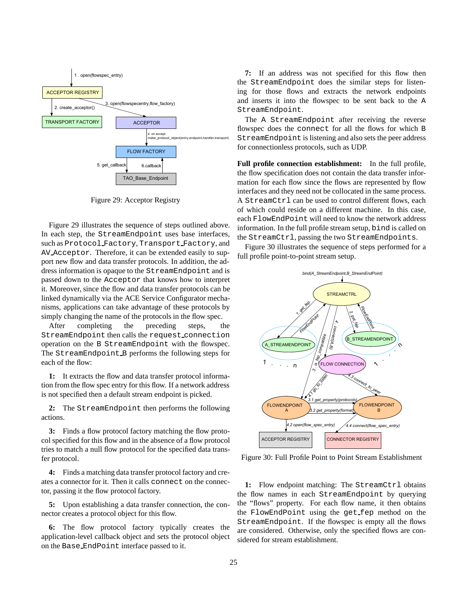

Figure 29: Acceptor Registry

Figure 29 illustrates the sequence of steps outlined above. In each step, the StreamEndpoint uses base interfaces, such as Protocol Factory, Transport Factory, and AV Acceptor. Therefore, it can be extended easily to support new flow and data transfer protocols. In addition, the address information is opaque to the StreamEndpoint and is passed down to the Acceptor that knows how to interpret it. Moreover, since the flow and data transfer protocols can be linked dynamically via the ACE Service Configurator mechanisms, applications can take advantage of these protocols by simply changing the name of the protocols in the flow spec.

After completing the preceding steps, the StreamEndpoint then calls the request connection operation on the B StreamEndpoint with the flowspec. The StreamEndpoint B performs the following steps for each of the flow:

**1:** It extracts the flow and data transfer protocol information from the flow spec entry for this flow. If a network address is not specified then a default stream endpoint is picked.

**2:** The StreamEndpoint then performs the following actions.

**3:** Finds a flow protocol factory matching the flow protocol specified for this flow and in the absence of a flow protocol tries to match a null flow protocol for the specified data transfer protocol.

**4:** Finds a matching data transfer protocol factory and creates a connector for it. Then it calls connect on the connector, passing it the flow protocol factory.

**5:** Upon establishing a data transfer connection, the connector creates a protocol object for this flow.

**6:** The flow protocol factory typically creates the application-level callback object and sets the protocol object on the Base EndPoint interface passed to it.

**7:** If an address was not specified for this flow then the StreamEndpoint does the similar steps for listening for those flows and extracts the network endpoints and inserts it into the flowspec to be sent back to the A StreamEndpoint.

The A StreamEndpoint after receiving the reverse flowspec does the connect for all the flows for which B StreamEndpoint is listening and also sets the peer address for connectionless protocols, such as UDP.

**Full profile connection establishment:** In the full profile, the flow specification does not contain the data transfer information for each flow since the flows are represented by flow interfaces and they need not be collocated in the same process. A StreamCtrl can be used to control different flows, each of which could reside on a different machine. In this case, each FlowEndPoint will need to know the network address information. In the full profile stream setup, bind is called on the StreamCtrl, passing the two StreamEndpoints.

Figure 30 illustrates the sequence of steps performed for a full profile point-to-point stream setup.



Figure 30: Full Profile Point to Point Stream Establishment

1: Flow endpoint matching: The StreamCtrl obtains the flow names in each StreamEndpoint by querying the "flows" property. For each flow name, it then obtains the FlowEndPoint using the get fep method on the StreamEndpoint. If the flowspec is empty all the flows are considered. Otherwise, only the specified flows are considered for stream establishment.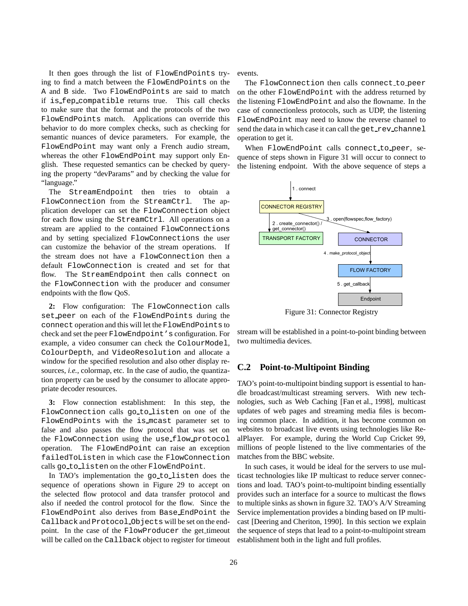It then goes through the list of FlowEndPoints trying to find a match between the FlowEndPoints on the A and B side. Two FlowEndPoints are said to match if is fep compatible returns true. This call checks to make sure that the format and the protocols of the two FlowEndPoints match. Applications can override this behavior to do more complex checks, such as checking for semantic nuances of device parameters. For example, the FlowEndPoint may want only a French audio stream, whereas the other FlowEndPoint may support only English. These requested semantics can be checked by querying the property "devParams" and by checking the value for "language."

The StreamEndpoint then tries to obtain a FlowConnection from the StreamCtrl. The application developer can set the FlowConnection object for each flow using the StreamCtrl. All operations on a stream are applied to the contained FlowConnections and by setting specialized FlowConnections the user can customize the behavior of the stream operations. If the stream does not have a FlowConnection then a default FlowConnection is created and set for that flow. The StreamEndpoint then calls connect on the FlowConnection with the producer and consumer endpoints with the flow QoS.

**2:** Flow configuration: The FlowConnection calls set peer on each of the FlowEndPoints during the connect operation and this will let the FlowEndPoints to check and set the peer FlowEndpoint's configuration. For example, a video consumer can check the ColourModel, ColourDepth, and VideoResolution and allocate a window for the specified resolution and also other display resources, *i.e.*, colormap, etc. In the case of audio, the quantization property can be used by the consumer to allocate appropriate decoder resources.

**3:** Flow connection establishment: In this step, the FlowConnection calls go\_to\_listen on one of the FlowEndPoints with the is mcast parameter set to false and also passes the flow protocol that was set on the FlowConnection using the use flow protocol operation. The FlowEndPoint can raise an exception failedToListen in which case the FlowConnection calls go to listen on the other FlowEndPoint.

In TAO's implementation the go to listen does the sequence of operations shown in Figure 29 to accept on the selected flow protocol and data transfer protocol and also if needed the control protocol for the flow. Since the FlowEndPoint also derives from Base EndPoint the Callback and Protocol Objects will be set on the endpoint. In the case of the FlowProducer the get timeout will be called on the Callback object to register for timeout events.

The FlowConnection then calls connect to peer on the other FlowEndPoint with the address returned by the listening FlowEndPoint and also the flowname. In the case of connectionless protocols, such as UDP, the listening FlowEndPoint may need to know the reverse channel to send the data in which case it can call the get rev channel operation to get it.

When FlowEndPoint calls connect to peer, sequence of steps shown in Figure 31 will occur to connect to the listening endpoint. With the above sequence of steps a



Figure 31: Connector Registry

stream will be established in a point-to-point binding between two multimedia devices.

## **C.2 Point-to-Multipoint Binding**

TAO's point-to-multipoint binding support is essential to handle broadcast/multicast streaming servers. With new technologies, such as Web Caching [Fan et al., 1998], multicast updates of web pages and streaming media files is becoming common place. In addition, it has become common on websites to broadcast live events using technologies like RealPlayer. For example, during the World Cup Cricket 99, millions of people listened to the live commentaries of the matches from the BBC website.

In such cases, it would be ideal for the servers to use multicast technologies like IP multicast to reduce server connections and load. TAO's point-to-multipoint binding essentially provides such an interface for a source to multicast the flows to multiple sinks as shown in figure 32. TAO's A/V Streaming Service implementation provides a binding based on IP multicast [Deering and Cheriton, 1990]. In this section we explain the sequence of steps that lead to a point-to-multipoint stream establishment both in the light and full profiles.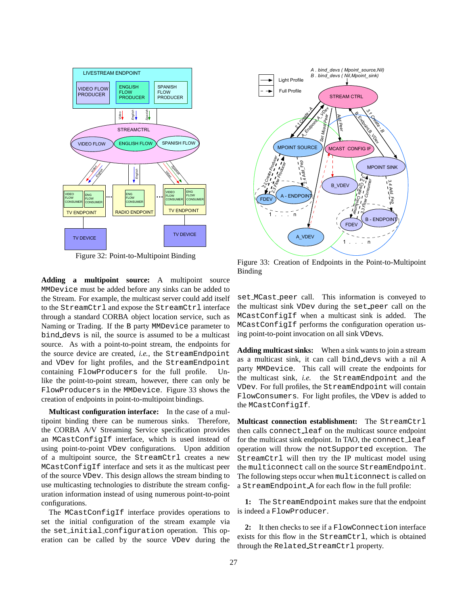

Figure 32: Point-to-Multipoint Binding

**Adding a multipoint source:** A multipoint source MMDevice must be added before any sinks can be added to the Stream. For example, the multicast server could add itself to the StreamCtrl and expose the StreamCtrl interface through a standard CORBA object location service, such as Naming or Trading. If the B party MMDevice parameter to bind devs is nil, the source is assumed to be a multicast source. As with a point-to-point stream, the endpoints for the source device are created, *i.e.*, the StreamEndpoint and VDev for light profiles, and the StreamEndpoint containing FlowProducers for the full profile. Unlike the point-to-point stream, however, there can only be FlowProducers in the MMDevice. Figure 33 shows the creation of endpoints in point-to-multipoint bindings.

**Multicast configuration interface:** In the case of a multipoint binding there can be numerous sinks. Therefore, the CORBA A/V Streaming Service specification provides an MCastConfigIf interface, which is used instead of using point-to-point VDev configurations. Upon addition of a multipoint source, the StreamCtrl creates a new MCastConfigIf interface and sets it as the multicast peer of the source VDev. This design allows the stream binding to use multicasting technologies to distribute the stream configuration information instead of using numerous point-to-point configurations.

The MCastConfigIf interface provides operations to set the initial configuration of the stream example via the set initial configuration operation. This operation can be called by the source VDev during the



Figure 33: Creation of Endpoints in the Point-to-Multipoint Binding

set MCast peer call. This information is conveyed to the multicast sink VDev during the set peer call on the MCastConfigIf when a multicast sink is added. The MCastConfigIf performs the configuration operation using point-to-point invocation on all sink VDevs.

**Adding multicast sinks:** When a sink wants to join a stream as a multicast sink, it can call bind devs with a nil A party MMDevice. This call will create the endpoints for the multicast sink, *i.e.* the StreamEndpoint and the VDev. For full profiles, the StreamEndpoint will contain FlowConsumers. For light profiles, the VDev is added to the MCastConfigIf.

**Multicast connection establishment:** The StreamCtrl then calls connect leaf on the multicast source endpoint for the multicast sink endpoint. In TAO, the connect leaf operation will throw the notSupported exception. The StreamCtrl will then try the IP multicast model using the multiconnect call on the source StreamEndpoint. The following steps occur when multiconnect is called on a StreamEndpoint A for each flow in the full profile:

**1:** The StreamEndpoint makes sure that the endpoint is indeed a FlowProducer.

**2:** It then checks to see if a FlowConnection interface exists for this flow in the StreamCtrl, which is obtained through the Related StreamCtrl property.